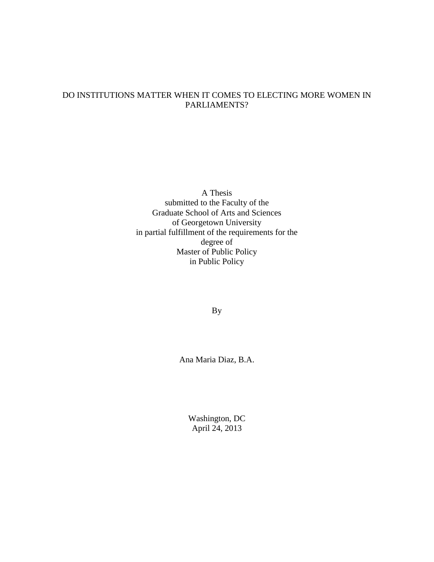# DO INSTITUTIONS MATTER WHEN IT COMES TO ELECTING MORE WOMEN IN PARLIAMENTS?

A Thesis submitted to the Faculty of the Graduate School of Arts and Sciences of Georgetown University in partial fulfillment of the requirements for the degree of Master of Public Policy in Public Policy

By

Ana Maria Diaz, B.A.

Washington, DC April 24, 2013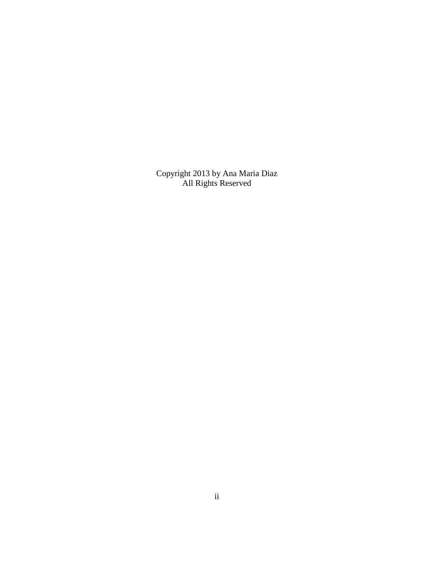Copyright 2013 by Ana Maria Diaz All Rights Reserved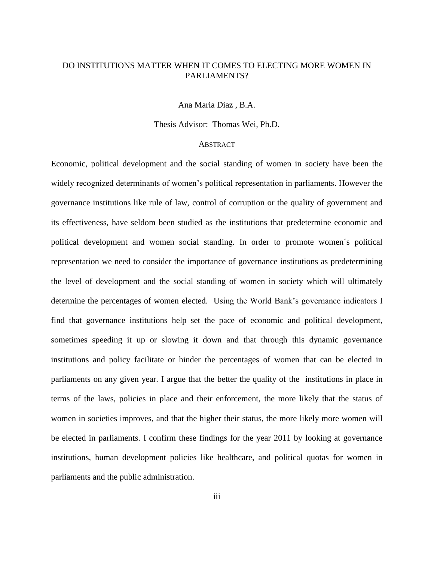# DO INSTITUTIONS MATTER WHEN IT COMES TO ELECTING MORE WOMEN IN PARLIAMENTS?

Ana Maria Diaz , B.A.

Thesis Advisor:Thomas Wei*,* Ph.D*.* 

#### **ABSTRACT**

Economic, political development and the social standing of women in society have been the widely recognized determinants of women's political representation in parliaments. However the governance institutions like rule of law, control of corruption or the quality of government and its effectiveness, have seldom been studied as the institutions that predetermine economic and political development and women social standing. In order to promote women´s political representation we need to consider the importance of governance institutions as predetermining the level of development and the social standing of women in society which will ultimately determine the percentages of women elected. Using the World Bank's governance indicators I find that governance institutions help set the pace of economic and political development, sometimes speeding it up or slowing it down and that through this dynamic governance institutions and policy facilitate or hinder the percentages of women that can be elected in parliaments on any given year. I argue that the better the quality of the institutions in place in terms of the laws, policies in place and their enforcement, the more likely that the status of women in societies improves, and that the higher their status, the more likely more women will be elected in parliaments. I confirm these findings for the year 2011 by looking at governance institutions, human development policies like healthcare, and political quotas for women in parliaments and the public administration.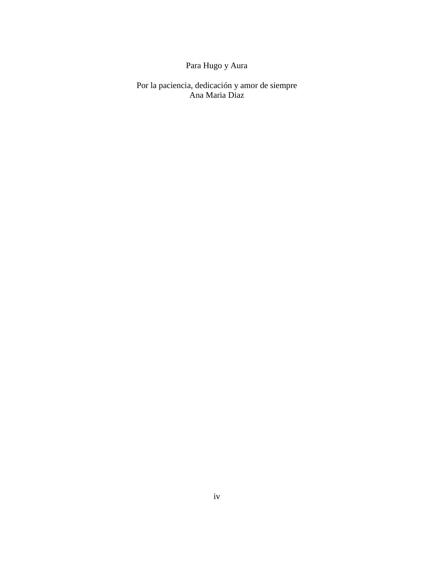# Para Hugo y Aura

Por la paciencia, dedicación y amor de siempre Ana Maria Diaz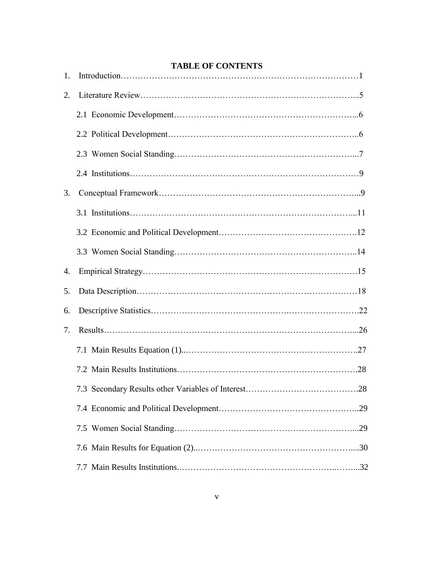|  |  | <b>TABLE OF CONTENTS</b> |
|--|--|--------------------------|
|--|--|--------------------------|

| 1. | TABLE OF CONTENTS |  |
|----|-------------------|--|
| 2. |                   |  |
|    |                   |  |
|    |                   |  |
|    |                   |  |
|    |                   |  |
| 3. |                   |  |
|    |                   |  |
|    |                   |  |
|    |                   |  |
| 4. |                   |  |
| 5. |                   |  |
| 6. |                   |  |
| 7. |                   |  |
|    |                   |  |
|    |                   |  |
|    |                   |  |
|    |                   |  |
|    |                   |  |
|    |                   |  |
|    |                   |  |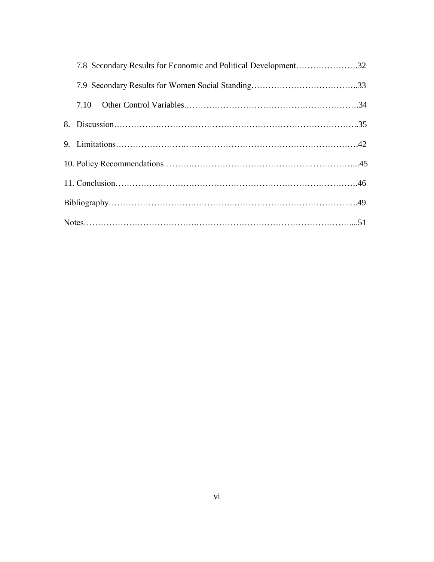| 7.8 Secondary Results for Economic and Political Development32 |  |
|----------------------------------------------------------------|--|
|                                                                |  |
|                                                                |  |
|                                                                |  |
|                                                                |  |
|                                                                |  |
|                                                                |  |
|                                                                |  |
|                                                                |  |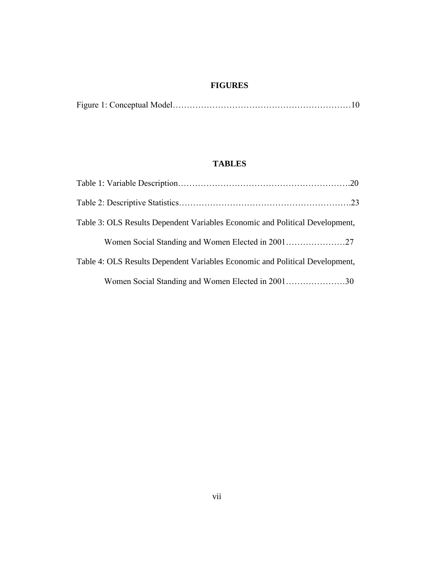# **FIGURES**

|--|--|

# **TABLES**

| Table 3: OLS Results Dependent Variables Economic and Political Development, |  |
|------------------------------------------------------------------------------|--|
|                                                                              |  |
| Table 4: OLS Results Dependent Variables Economic and Political Development, |  |
| Women Social Standing and Women Elected in 200130                            |  |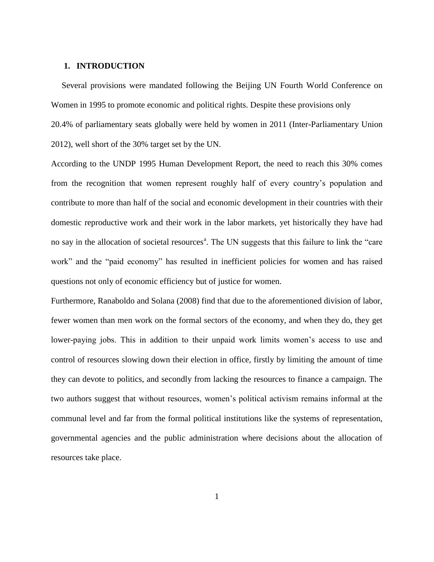#### **1. INTRODUCTION**

 Several provisions were mandated following the Beijing UN Fourth World Conference on Women in 1995 to promote economic and political rights. Despite these provisions only 20.4% of parliamentary seats globally were held by women in 2011 (Inter-Parliamentary Union 2012), well short of the 30% target set by the UN.

According to the UNDP 1995 Human Development Report, the need to reach this 30% comes from the recognition that women represent roughly half of every country's population and contribute to more than half of the social and economic development in their countries with their domestic reproductive work and their work in the labor markets, yet historically they have had no say in the allocation of societal resources<sup>a</sup>. The UN suggests that this failure to link the "care work" and the "paid economy" has resulted in inefficient policies for women and has raised questions not only of economic efficiency but of justice for women.

Furthermore, Ranaboldo and Solana (2008) find that due to the aforementioned division of labor, fewer women than men work on the formal sectors of the economy, and when they do, they get lower-paying jobs. This in addition to their unpaid work limits women's access to use and control of resources slowing down their election in office, firstly by limiting the amount of time they can devote to politics, and secondly from lacking the resources to finance a campaign. The two authors suggest that without resources, women's political activism remains informal at the communal level and far from the formal political institutions like the systems of representation, governmental agencies and the public administration where decisions about the allocation of resources take place.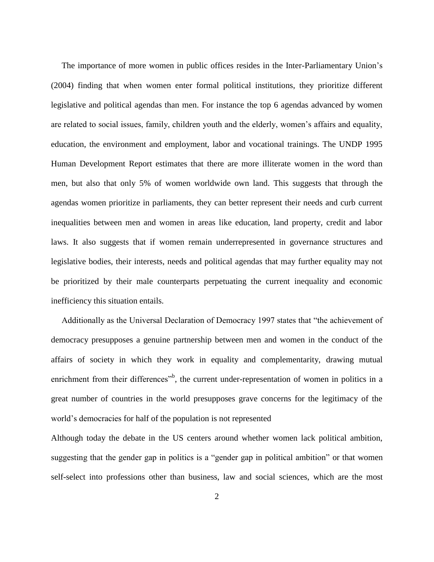The importance of more women in public offices resides in the Inter-Parliamentary Union's (2004) finding that when women enter formal political institutions, they prioritize different legislative and political agendas than men. For instance the top 6 agendas advanced by women are related to social issues, family, children youth and the elderly, women's affairs and equality, education, the environment and employment, labor and vocational trainings. The UNDP 1995 Human Development Report estimates that there are more illiterate women in the word than men, but also that only 5% of women worldwide own land. This suggests that through the agendas women prioritize in parliaments, they can better represent their needs and curb current inequalities between men and women in areas like education, land property, credit and labor laws. It also suggests that if women remain underrepresented in governance structures and legislative bodies, their interests, needs and political agendas that may further equality may not be prioritized by their male counterparts perpetuating the current inequality and economic inefficiency this situation entails.

 Additionally as the Universal Declaration of Democracy 1997 states that "the achievement of democracy presupposes a genuine partnership between men and women in the conduct of the affairs of society in which they work in equality and complementarity, drawing mutual enrichment from their differences<sup>"b</sup>, the current under-representation of women in politics in a great number of countries in the world presupposes grave concerns for the legitimacy of the world's democracies for half of the population is not represented

Although today the debate in the US centers around whether women lack political ambition, suggesting that the gender gap in politics is a "gender gap in political ambition" or that women self-select into professions other than business, law and social sciences, which are the most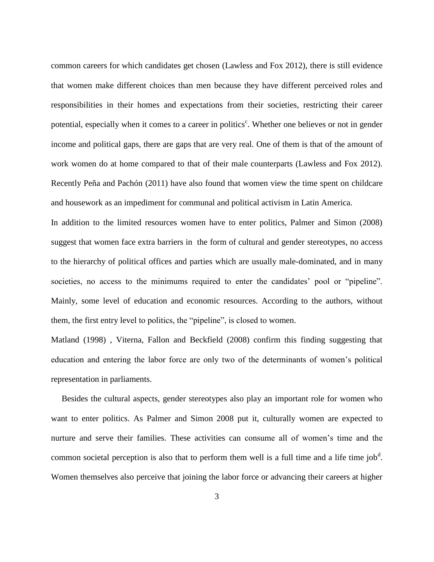common careers for which candidates get chosen (Lawless and Fox 2012), there is still evidence that women make different choices than men because they have different perceived roles and responsibilities in their homes and expectations from their societies, restricting their career potential, especially when it comes to a career in politics<sup>c</sup>. Whether one believes or not in gender income and political gaps, there are gaps that are very real. One of them is that of the amount of work women do at home compared to that of their male counterparts (Lawless and Fox 2012). Recently Peña and Pachón (2011) have also found that women view the time spent on childcare and housework as an impediment for communal and political activism in Latin America.

In addition to the limited resources women have to enter politics, Palmer and Simon (2008) suggest that women face extra barriers in the form of cultural and gender stereotypes, no access to the hierarchy of political offices and parties which are usually male-dominated, and in many societies, no access to the minimums required to enter the candidates' pool or "pipeline". Mainly, some level of education and economic resources. According to the authors, without them, the first entry level to politics, the "pipeline", is closed to women.

Matland (1998) , Viterna, Fallon and Beckfield (2008) confirm this finding suggesting that education and entering the labor force are only two of the determinants of women's political representation in parliaments.

 Besides the cultural aspects, gender stereotypes also play an important role for women who want to enter politics. As Palmer and Simon 2008 put it, culturally women are expected to nurture and serve their families. These activities can consume all of women's time and the common societal perception is also that to perform them well is a full time and a life time job<sup>d</sup>. Women themselves also perceive that joining the labor force or advancing their careers at higher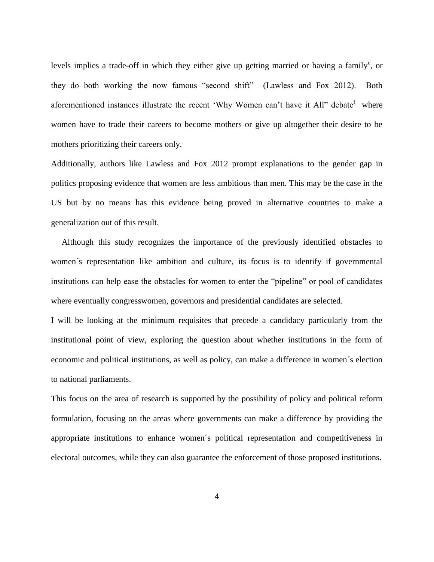levels implies a trade-off in which they either give up getting married or having a family<sup>e</sup>, or they do both working the now famous "second shift" (Lawless and Fox 2012). Both aforementioned instances illustrate the recent 'Why Women can't have it All" debate<sup>f</sup> where women have to trade their careers to become mothers or give up altogether their desire to be mothers prioritizing their careers only.

Additionally, authors like Lawless and Fox 2012 prompt explanations to the gender gap in politics proposing evidence that women are less ambitious than men. This may be the case in the US but by no means has this evidence being proved in alternative countries to make a generalization out of this result.

 Although this study recognizes the importance of the previously identified obstacles to women´s representation like ambition and culture, its focus is to identify if governmental institutions can help ease the obstacles for women to enter the "pipeline" or pool of candidates where eventually congresswomen, governors and presidential candidates are selected.

I will be looking at the minimum requisites that precede a candidacy particularly from the institutional point of view, exploring the question about whether institutions in the form of economic and political institutions, as well as policy, can make a difference in women´s election to national parliaments.

This focus on the area of research is supported by the possibility of policy and political reform formulation, focusing on the areas where governments can make a difference by providing the appropriate institutions to enhance women´s political representation and competitiveness in electoral outcomes, while they can also guarantee the enforcement of those proposed institutions.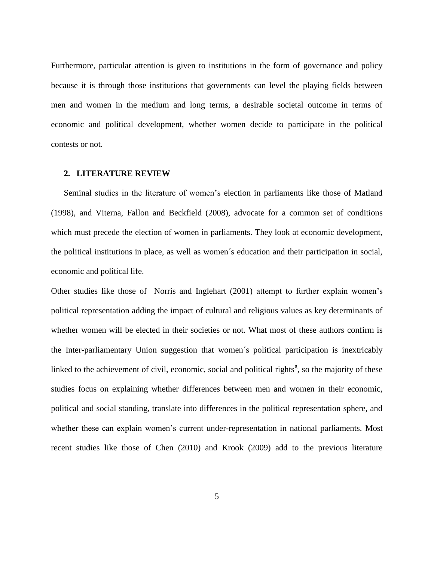Furthermore, particular attention is given to institutions in the form of governance and policy because it is through those institutions that governments can level the playing fields between men and women in the medium and long terms, a desirable societal outcome in terms of economic and political development, whether women decide to participate in the political contests or not.

#### **2. LITERATURE REVIEW**

 Seminal studies in the literature of women's election in parliaments like those of Matland (1998), and Viterna, Fallon and Beckfield (2008), advocate for a common set of conditions which must precede the election of women in parliaments. They look at economic development, the political institutions in place, as well as women´s education and their participation in social, economic and political life.

Other studies like those of Norris and Inglehart (2001) attempt to further explain women's political representation adding the impact of cultural and religious values as key determinants of whether women will be elected in their societies or not. What most of these authors confirm is the Inter-parliamentary Union suggestion that women´s political participation is inextricably linked to the achievement of civil, economic, social and political rights<sup> $g$ </sup>, so the majority of these studies focus on explaining whether differences between men and women in their economic, political and social standing, translate into differences in the political representation sphere, and whether these can explain women's current under-representation in national parliaments. Most recent studies like those of Chen (2010) and Krook (2009) add to the previous literature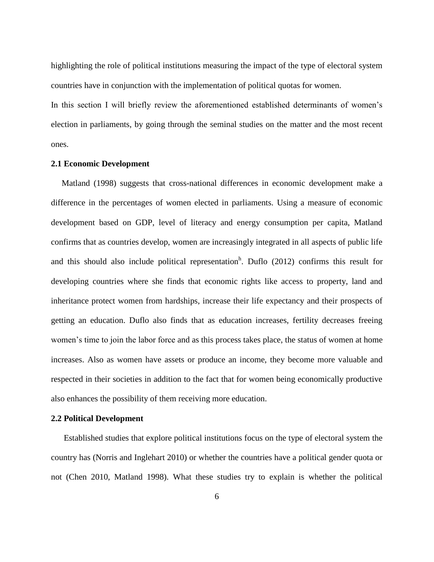highlighting the role of political institutions measuring the impact of the type of electoral system countries have in conjunction with the implementation of political quotas for women.

In this section I will briefly review the aforementioned established determinants of women's election in parliaments, by going through the seminal studies on the matter and the most recent ones.

#### **2.1 Economic Development**

 Matland (1998) suggests that cross-national differences in economic development make a difference in the percentages of women elected in parliaments. Using a measure of economic development based on GDP, level of literacy and energy consumption per capita, Matland confirms that as countries develop, women are increasingly integrated in all aspects of public life and this should also include political representation<sup>h</sup>. Duflo  $(2012)$  confirms this result for developing countries where she finds that economic rights like access to property, land and inheritance protect women from hardships, increase their life expectancy and their prospects of getting an education. Duflo also finds that as education increases, fertility decreases freeing women's time to join the labor force and as this process takes place, the status of women at home increases. Also as women have assets or produce an income, they become more valuable and respected in their societies in addition to the fact that for women being economically productive also enhances the possibility of them receiving more education.

# **2.2 Political Development**

 Established studies that explore political institutions focus on the type of electoral system the country has (Norris and Inglehart 2010) or whether the countries have a political gender quota or not (Chen 2010, Matland 1998). What these studies try to explain is whether the political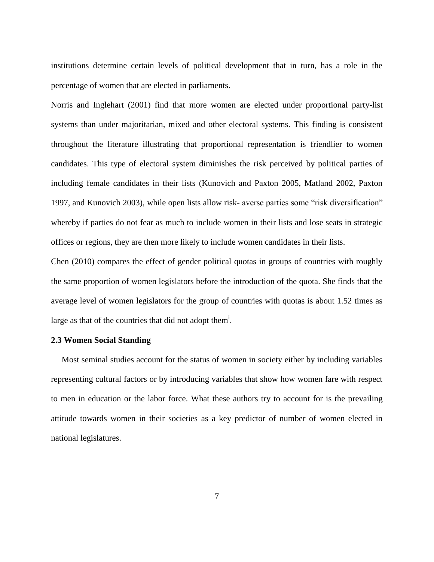institutions determine certain levels of political development that in turn, has a role in the percentage of women that are elected in parliaments.

Norris and Inglehart (2001) find that more women are elected under proportional party-list systems than under majoritarian, mixed and other electoral systems. This finding is consistent throughout the literature illustrating that proportional representation is friendlier to women candidates. This type of electoral system diminishes the risk perceived by political parties of including female candidates in their lists (Kunovich and Paxton 2005, Matland 2002, Paxton 1997, and Kunovich 2003), while open lists allow risk- averse parties some "risk diversification" whereby if parties do not fear as much to include women in their lists and lose seats in strategic offices or regions, they are then more likely to include women candidates in their lists.

Chen (2010) compares the effect of gender political quotas in groups of countries with roughly the same proportion of women legislators before the introduction of the quota. She finds that the average level of women legislators for the group of countries with quotas is about 1.52 times as large as that of the countries that did not adopt them<sup>i</sup>.

## **2.3 Women Social Standing**

 Most seminal studies account for the status of women in society either by including variables representing cultural factors or by introducing variables that show how women fare with respect to men in education or the labor force. What these authors try to account for is the prevailing attitude towards women in their societies as a key predictor of number of women elected in national legislatures.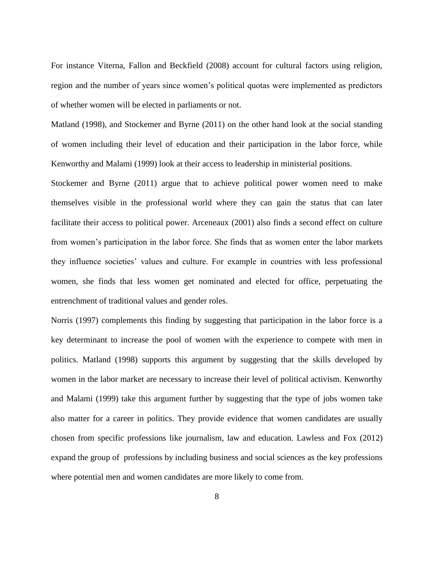For instance Viterna, Fallon and Beckfield (2008) account for cultural factors using religion, region and the number of years since women's political quotas were implemented as predictors of whether women will be elected in parliaments or not.

Matland (1998), and Stockemer and Byrne (2011) on the other hand look at the social standing of women including their level of education and their participation in the labor force, while Kenworthy and Malami (1999) look at their access to leadership in ministerial positions.

Stockemer and Byrne (2011) argue that to achieve political power women need to make themselves visible in the professional world where they can gain the status that can later facilitate their access to political power. Arceneaux (2001) also finds a second effect on culture from women's participation in the labor force. She finds that as women enter the labor markets they influence societies' values and culture. For example in countries with less professional women, she finds that less women get nominated and elected for office, perpetuating the entrenchment of traditional values and gender roles.

Norris (1997) complements this finding by suggesting that participation in the labor force is a key determinant to increase the pool of women with the experience to compete with men in politics. Matland (1998) supports this argument by suggesting that the skills developed by women in the labor market are necessary to increase their level of political activism. Kenworthy and Malami (1999) take this argument further by suggesting that the type of jobs women take also matter for a career in politics. They provide evidence that women candidates are usually chosen from specific professions like journalism, law and education. Lawless and Fox (2012) expand the group of professions by including business and social sciences as the key professions where potential men and women candidates are more likely to come from.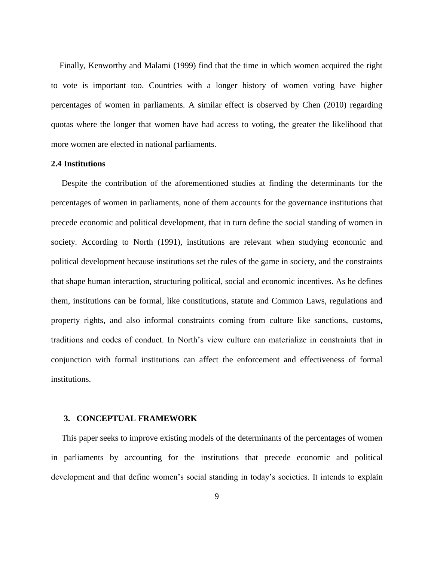Finally, Kenworthy and Malami (1999) find that the time in which women acquired the right to vote is important too. Countries with a longer history of women voting have higher percentages of women in parliaments. A similar effect is observed by Chen (2010) regarding quotas where the longer that women have had access to voting, the greater the likelihood that more women are elected in national parliaments.

## **2.4 Institutions**

 Despite the contribution of the aforementioned studies at finding the determinants for the percentages of women in parliaments, none of them accounts for the governance institutions that precede economic and political development, that in turn define the social standing of women in society. According to North (1991), institutions are relevant when studying economic and political development because institutions set the rules of the game in society, and the constraints that shape human interaction, structuring political, social and economic incentives. As he defines them, institutions can be formal, like constitutions, statute and Common Laws, regulations and property rights, and also informal constraints coming from culture like sanctions, customs, traditions and codes of conduct. In North's view culture can materialize in constraints that in conjunction with formal institutions can affect the enforcement and effectiveness of formal institutions.

# **3. CONCEPTUAL FRAMEWORK**

 This paper seeks to improve existing models of the determinants of the percentages of women in parliaments by accounting for the institutions that precede economic and political development and that define women's social standing in today's societies. It intends to explain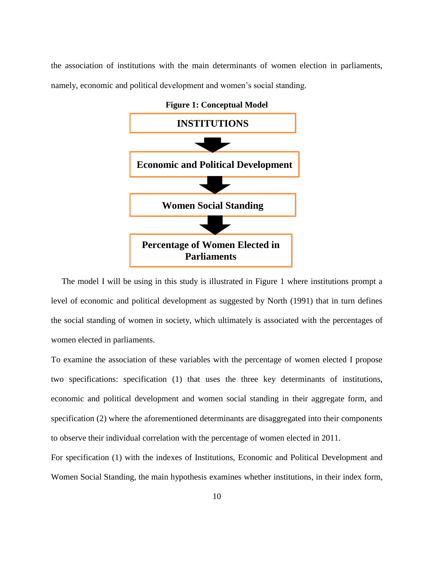the association of institutions with the main determinants of women election in parliaments, namely, economic and political development and women's social standing.



 The model I will be using in this study is illustrated in Figure 1 where institutions prompt a level of economic and political development as suggested by North (1991) that in turn defines the social standing of women in society, which ultimately is associated with the percentages of women elected in parliaments.

To examine the association of these variables with the percentage of women elected I propose two specifications: specification (1) that uses the three key determinants of institutions, economic and political development and women social standing in their aggregate form, and specification (2) where the aforementioned determinants are disaggregated into their components to observe their individual correlation with the percentage of women elected in 2011.

For specification (1) with the indexes of Institutions, Economic and Political Development and Women Social Standing, the main hypothesis examines whether institutions, in their index form,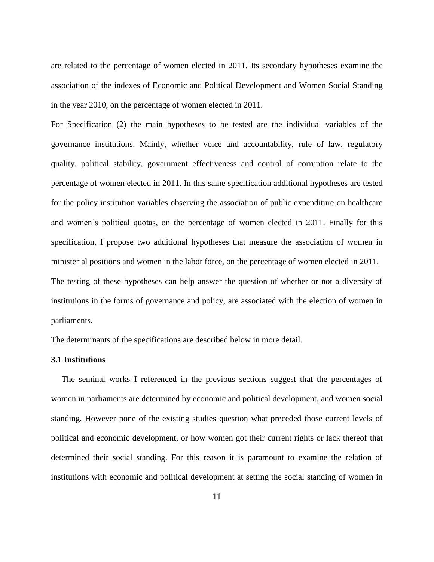are related to the percentage of women elected in 2011. Its secondary hypotheses examine the association of the indexes of Economic and Political Development and Women Social Standing in the year 2010, on the percentage of women elected in 2011.

For Specification (2) the main hypotheses to be tested are the individual variables of the governance institutions. Mainly, whether voice and accountability, rule of law, regulatory quality, political stability, government effectiveness and control of corruption relate to the percentage of women elected in 2011. In this same specification additional hypotheses are tested for the policy institution variables observing the association of public expenditure on healthcare and women's political quotas, on the percentage of women elected in 2011. Finally for this specification, I propose two additional hypotheses that measure the association of women in ministerial positions and women in the labor force, on the percentage of women elected in 2011. The testing of these hypotheses can help answer the question of whether or not a diversity of institutions in the forms of governance and policy, are associated with the election of women in parliaments.

The determinants of the specifications are described below in more detail.

#### **3.1 Institutions**

 The seminal works I referenced in the previous sections suggest that the percentages of women in parliaments are determined by economic and political development, and women social standing. However none of the existing studies question what preceded those current levels of political and economic development, or how women got their current rights or lack thereof that determined their social standing. For this reason it is paramount to examine the relation of institutions with economic and political development at setting the social standing of women in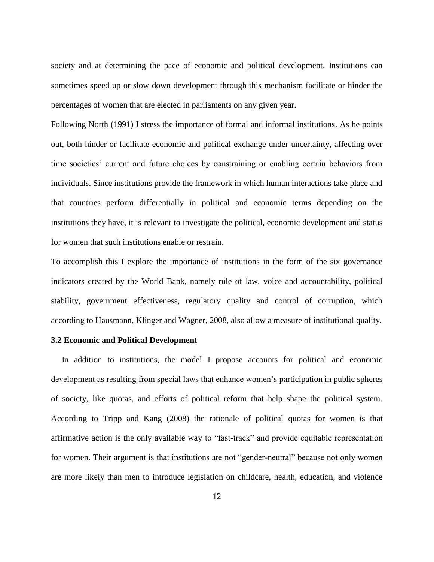society and at determining the pace of economic and political development. Institutions can sometimes speed up or slow down development through this mechanism facilitate or hinder the percentages of women that are elected in parliaments on any given year.

Following North (1991) I stress the importance of formal and informal institutions. As he points out, both hinder or facilitate economic and political exchange under uncertainty, affecting over time societies' current and future choices by constraining or enabling certain behaviors from individuals. Since institutions provide the framework in which human interactions take place and that countries perform differentially in political and economic terms depending on the institutions they have, it is relevant to investigate the political, economic development and status for women that such institutions enable or restrain.

To accomplish this I explore the importance of institutions in the form of the six governance indicators created by the World Bank, namely rule of law, voice and accountability, political stability, government effectiveness, regulatory quality and control of corruption, which according to Hausmann, Klinger and Wagner, 2008, also allow a measure of institutional quality.

#### **3.2 Economic and Political Development**

 In addition to institutions, the model I propose accounts for political and economic development as resulting from special laws that enhance women's participation in public spheres of society, like quotas, and efforts of political reform that help shape the political system. According to Tripp and Kang (2008) the rationale of political quotas for women is that affirmative action is the only available way to "fast-track" and provide equitable representation for women. Their argument is that institutions are not "gender-neutral" because not only women are more likely than men to introduce legislation on childcare, health, education, and violence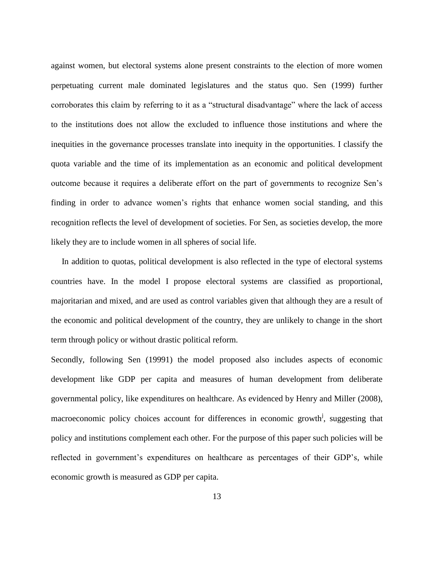against women, but electoral systems alone present constraints to the election of more women perpetuating current male dominated legislatures and the status quo. Sen (1999) further corroborates this claim by referring to it as a "structural disadvantage" where the lack of access to the institutions does not allow the excluded to influence those institutions and where the inequities in the governance processes translate into inequity in the opportunities. I classify the quota variable and the time of its implementation as an economic and political development outcome because it requires a deliberate effort on the part of governments to recognize Sen's finding in order to advance women's rights that enhance women social standing, and this recognition reflects the level of development of societies. For Sen, as societies develop, the more likely they are to include women in all spheres of social life.

 In addition to quotas, political development is also reflected in the type of electoral systems countries have. In the model I propose electoral systems are classified as proportional, majoritarian and mixed, and are used as control variables given that although they are a result of the economic and political development of the country, they are unlikely to change in the short term through policy or without drastic political reform.

Secondly, following Sen (19991) the model proposed also includes aspects of economic development like GDP per capita and measures of human development from deliberate governmental policy, like expenditures on healthcare. As evidenced by Henry and Miller (2008), macroeconomic policy choices account for differences in economic growth<sup>j</sup>, suggesting that policy and institutions complement each other. For the purpose of this paper such policies will be reflected in government's expenditures on healthcare as percentages of their GDP's, while economic growth is measured as GDP per capita.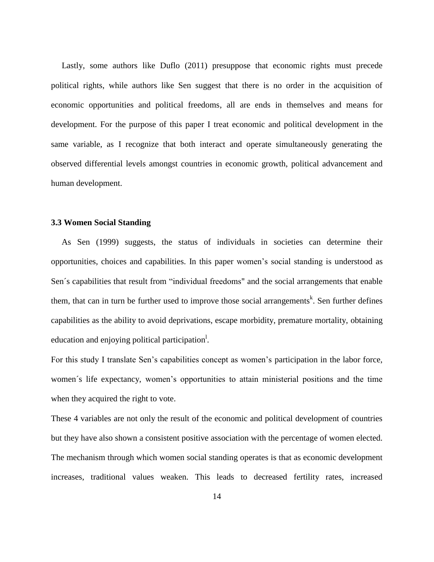Lastly, some authors like Duflo (2011) presuppose that economic rights must precede political rights, while authors like Sen suggest that there is no order in the acquisition of economic opportunities and political freedoms, all are ends in themselves and means for development. For the purpose of this paper I treat economic and political development in the same variable, as I recognize that both interact and operate simultaneously generating the observed differential levels amongst countries in economic growth, political advancement and human development.

#### **3.3 Women Social Standing**

 As Sen (1999) suggests, the status of individuals in societies can determine their opportunities, choices and capabilities. In this paper women's social standing is understood as Sen´s capabilities that result from "individual freedoms" and the social arrangements that enable them, that can in turn be further used to improve those social arrangements<sup>k</sup>. Sen further defines capabilities as the ability to avoid deprivations, escape morbidity, premature mortality, obtaining education and enjoying political participation<sup>1</sup>.

For this study I translate Sen's capabilities concept as women's participation in the labor force, women´s life expectancy, women's opportunities to attain ministerial positions and the time when they acquired the right to vote.

These 4 variables are not only the result of the economic and political development of countries but they have also shown a consistent positive association with the percentage of women elected. The mechanism through which women social standing operates is that as economic development increases, traditional values weaken. This leads to decreased fertility rates, increased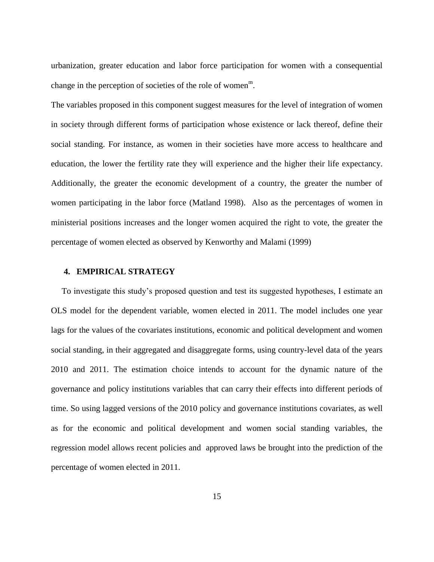urbanization, greater education and labor force participation for women with a consequential change in the perception of societies of the role of women<sup>m</sup>.

The variables proposed in this component suggest measures for the level of integration of women in society through different forms of participation whose existence or lack thereof, define their social standing. For instance, as women in their societies have more access to healthcare and education, the lower the fertility rate they will experience and the higher their life expectancy. Additionally, the greater the economic development of a country, the greater the number of women participating in the labor force (Matland 1998). Also as the percentages of women in ministerial positions increases and the longer women acquired the right to vote, the greater the percentage of women elected as observed by Kenworthy and Malami (1999)

#### **4. EMPIRICAL STRATEGY**

 To investigate this study's proposed question and test its suggested hypotheses, I estimate an OLS model for the dependent variable, women elected in 2011. The model includes one year lags for the values of the covariates institutions, economic and political development and women social standing, in their aggregated and disaggregate forms, using country-level data of the years 2010 and 2011. The estimation choice intends to account for the dynamic nature of the governance and policy institutions variables that can carry their effects into different periods of time. So using lagged versions of the 2010 policy and governance institutions covariates, as well as for the economic and political development and women social standing variables, the regression model allows recent policies and approved laws be brought into the prediction of the percentage of women elected in 2011.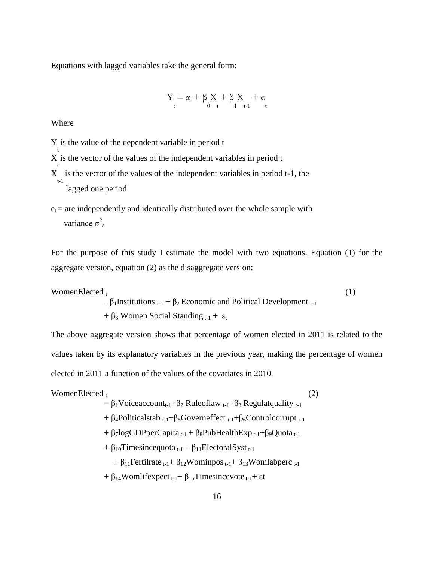Equations with lagged variables take the general form:

$$
Y=\alpha+\beta\underset{t}{X}+\beta\underset{1}{X}_{t-1}+e
$$

Where

t

t

Y is the value of the dependent variable in period t

X is the vector of the values of the independent variables in period t

X is the vector of the values of the independent variables in period t-1, the t-1 lagged one period

 $e_t$  = are independently and identically distributed over the whole sample with variance  $\sigma^2$ <sub>ε</sub>

For the purpose of this study I estimate the model with two equations. Equation (1) for the aggregate version, equation (2) as the disaggregate version:

WomenElected  $_{t}$  (1)  $= \beta_1$ Institutions  $_{t-1} + \beta_2$  Economic and Political Development  $_{t-1}$  $+ \beta_3$  Women Social Standing  $t_{t-1} + \varepsilon_t$ 

The above aggregate version shows that percentage of women elected in 2011 is related to the values taken by its explanatory variables in the previous year, making the percentage of women elected in 2011 a function of the values of the covariates in 2010.

WomenElected<sub>t</sub>  
\n
$$
= \beta_1 \text{Voiceaccount}_{t-1} + \beta_2 \text{ Ruleoflaw}_{t-1} + \beta_3 \text{ Regulatquality}_{t-1}
$$
\n
$$
+ \beta_4 \text{Politicalstab}_{t-1} + \beta_5 \text{Governmentfect}_{t-1} + \beta_6 \text{Controlcorrupt}_{t-1}
$$
\n
$$
+ \beta_7 \text{logGDPperCapita}_{t-1} + \beta_8 \text{PubHealthExp}_{t-1} + \beta_9 \text{Quota}_{t-1}
$$
\n
$$
+ \beta_{10} \text{Timesincequota}_{t-1} + \beta_{11} \text{ElectoralSyst}_{t-1}
$$
\n
$$
+ \beta_{11} \text{Fertilrate}_{t-1} + \beta_{12} \text{Wominpos}_{t-1} + \beta_{13} \text{Womlabperc}_{t-1}
$$
\n
$$
+ \beta_{14} \text{Womlifexpect}_{t-1} + \beta_{15} \text{Timesincevote}_{t-1} + \text{et}
$$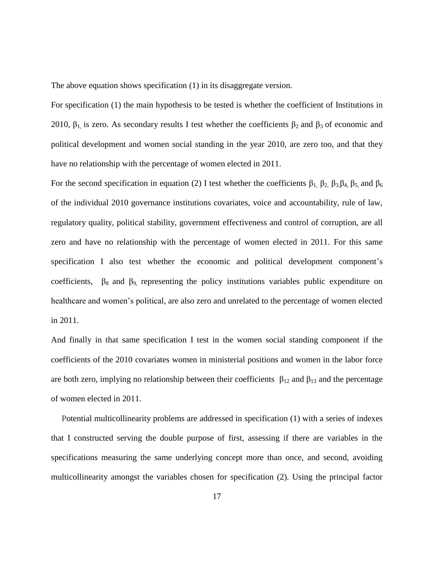The above equation shows specification (1) in its disaggregate version.

For specification (1) the main hypothesis to be tested is whether the coefficient of Institutions in 2010,  $\beta_1$  is zero. As secondary results I test whether the coefficients  $\beta_2$  and  $\beta_3$  of economic and political development and women social standing in the year 2010, are zero too, and that they have no relationship with the percentage of women elected in 2011.

For the second specification in equation (2) I test whether the coefficients  $β_1$ ,  $β_2$ ,  $β_3$ ,  $β_4$ ,  $β_5$ , and  $β_6$ of the individual 2010 governance institutions covariates, voice and accountability, rule of law, regulatory quality, political stability, government effectiveness and control of corruption, are all zero and have no relationship with the percentage of women elected in 2011. For this same specification I also test whether the economic and political development component's coefficients,  $\beta_8$  and  $\beta_9$ , representing the policy institutions variables public expenditure on healthcare and women's political, are also zero and unrelated to the percentage of women elected in 2011.

And finally in that same specification I test in the women social standing component if the coefficients of the 2010 covariates women in ministerial positions and women in the labor force are both zero, implying no relationship between their coefficients  $\beta_{12}$  and  $\beta_{13}$  and the percentage of women elected in 2011.

 Potential multicollinearity problems are addressed in specification (1) with a series of indexes that I constructed serving the double purpose of first, assessing if there are variables in the specifications measuring the same underlying concept more than once, and second, avoiding multicollinearity amongst the variables chosen for specification (2). Using the principal factor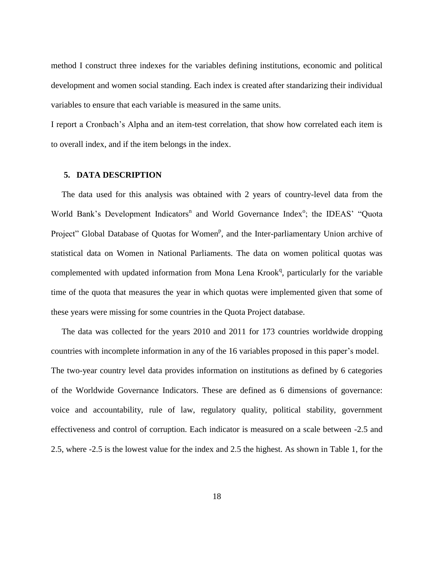method I construct three indexes for the variables defining institutions, economic and political development and women social standing. Each index is created after standarizing their individual variables to ensure that each variable is measured in the same units.

I report a Cronbach's Alpha and an item-test correlation, that show how correlated each item is to overall index, and if the item belongs in the index.

#### **5. DATA DESCRIPTION**

 The data used for this analysis was obtained with 2 years of country-level data from the World Bank's Development Indicators<sup>n</sup> and World Governance Index<sup>o</sup>; the IDEAS' "Quota Project" Global Database of Quotas for Women<sup>p</sup>, and the Inter-parliamentary Union archive of statistical data on Women in National Parliaments. The data on women political quotas was complemented with updated information from Mona Lena Krook<sup>q</sup>, particularly for the variable time of the quota that measures the year in which quotas were implemented given that some of these years were missing for some countries in the Quota Project database.

 The data was collected for the years 2010 and 2011 for 173 countries worldwide dropping countries with incomplete information in any of the 16 variables proposed in this paper's model. The two-year country level data provides information on institutions as defined by 6 categories of the Worldwide Governance Indicators. These are defined as 6 dimensions of governance: voice and accountability, rule of law, regulatory quality, political stability, government effectiveness and control of corruption. Each indicator is measured on a scale between -2.5 and 2.5, where -2.5 is the lowest value for the index and 2.5 the highest. As shown in Table 1, for the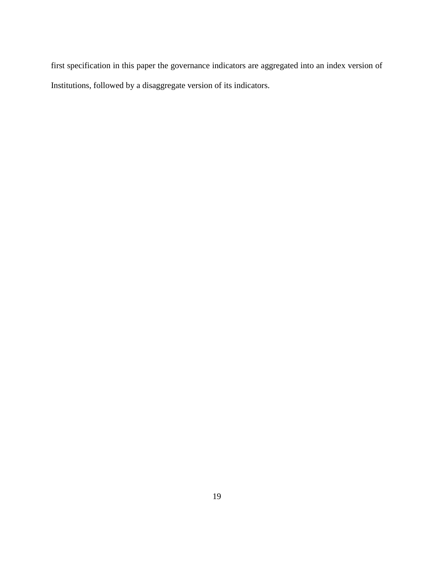first specification in this paper the governance indicators are aggregated into an index version of Institutions, followed by a disaggregate version of its indicators.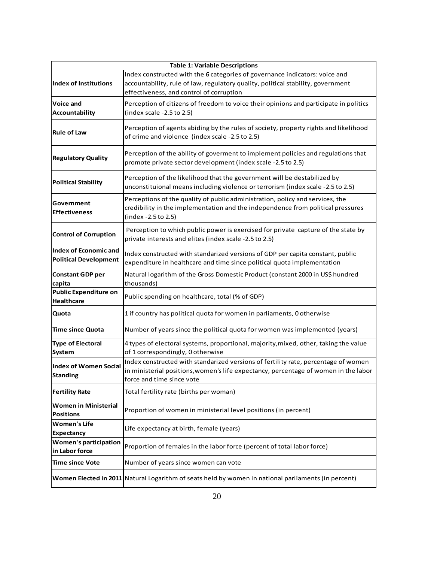| <b>Table 1: Variable Descriptions</b>                        |                                                                                                                                                                                                             |  |  |  |  |  |
|--------------------------------------------------------------|-------------------------------------------------------------------------------------------------------------------------------------------------------------------------------------------------------------|--|--|--|--|--|
| Index of Institutions                                        | Index constructed with the 6 categories of governance indicators: voice and<br>accountability, rule of law, regulatory quality, political stability, government<br>effectiveness, and control of corruption |  |  |  |  |  |
| Voice and<br>Accountability                                  | Perception of citizens of freedom to voice their opinions and participate in politics<br>(index scale -2.5 to 2.5)                                                                                          |  |  |  |  |  |
| <b>Rule of Law</b>                                           | Perception of agents abiding by the rules of society, property rights and likelihood<br>of crime and violence (index scale -2.5 to 2.5)                                                                     |  |  |  |  |  |
| <b>Regulatory Quality</b>                                    | Perception of the ability of goverment to implement policies and regulations that<br>promote private sector development (index scale -2.5 to 2.5)                                                           |  |  |  |  |  |
| <b>Political Stability</b>                                   | Perception of the likelihood that the government will be destabilized by<br>unconstituional means including violence or terrorism (index scale -2.5 to 2.5)                                                 |  |  |  |  |  |
| Government<br><b>Effectiveness</b>                           | Perceptions of the quality of public administration, policy and services, the<br>credibility in the implementation and the independence from political pressures<br>(index -2.5 to 2.5)                     |  |  |  |  |  |
| <b>Control of Corruption</b>                                 | Perception to which public power is exercised for private capture of the state by<br>private interests and elites (index scale -2.5 to 2.5)                                                                 |  |  |  |  |  |
| <b>Index of Economic and</b><br><b>Political Development</b> | Index constructed with standarized versions of GDP per capita constant, public<br>expenditure in healthcare and time since political quota implementation                                                   |  |  |  |  |  |
| <b>Constant GDP per</b><br>capita                            | Natural logarithm of the Gross Domestic Product (constant 2000 in US\$ hundred<br>thousands)                                                                                                                |  |  |  |  |  |
| <b>Public Expenditure on</b><br><b>Healthcare</b>            | Public spending on healthcare, total (% of GDP)                                                                                                                                                             |  |  |  |  |  |
| Quota                                                        | 1 if country has political quota for women in parliaments, 0 otherwise                                                                                                                                      |  |  |  |  |  |
| <b>Time since Quota</b>                                      | Number of years since the political quota for women was implemented (years)                                                                                                                                 |  |  |  |  |  |
| <b>Type of Electoral</b><br>System                           | 4 types of electoral systems, proportional, majority, mixed, other, taking the value<br>of 1 correspondingly, 0 otherwise                                                                                   |  |  |  |  |  |
| <b>Index of Women Social</b><br><b>Standing</b>              | Index constructed with standarized versions of fertility rate, percentage of women<br>in ministerial positions, women's life expectancy, percentage of women in the labor<br>force and time since vote      |  |  |  |  |  |
| <b>Fertility Rate</b>                                        | Total fertility rate (births per woman)                                                                                                                                                                     |  |  |  |  |  |
| <b>Women in Ministerial</b><br><b>Positions</b>              | Proportion of women in ministerial level positions (in percent)                                                                                                                                             |  |  |  |  |  |
| <b>Women's Life</b><br><b>Expectancy</b>                     | Life expectancy at birth, female (years)                                                                                                                                                                    |  |  |  |  |  |
| <b>Women's participation</b><br>in Labor force               | Proportion of females in the labor force (percent of total labor force)                                                                                                                                     |  |  |  |  |  |
| <b>Time since Vote</b>                                       | Number of years since women can vote                                                                                                                                                                        |  |  |  |  |  |
|                                                              | Women Elected in 2011 Natural Logarithm of seats held by women in national parliaments (in percent)                                                                                                         |  |  |  |  |  |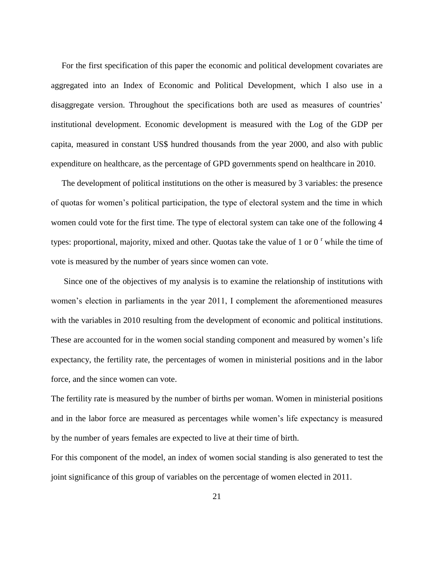For the first specification of this paper the economic and political development covariates are aggregated into an Index of Economic and Political Development, which I also use in a disaggregate version. Throughout the specifications both are used as measures of countries' institutional development. Economic development is measured with the Log of the GDP per capita, measured in constant US\$ hundred thousands from the year 2000, and also with public expenditure on healthcare, as the percentage of GPD governments spend on healthcare in 2010.

 The development of political institutions on the other is measured by 3 variables: the presence of quotas for women's political participation, the type of electoral system and the time in which women could vote for the first time. The type of electoral system can take one of the following 4 types: proportional, majority, mixed and other. Quotas take the value of 1 or  $0<sup>r</sup>$  while the time of vote is measured by the number of years since women can vote.

 Since one of the objectives of my analysis is to examine the relationship of institutions with women's election in parliaments in the year 2011, I complement the aforementioned measures with the variables in 2010 resulting from the development of economic and political institutions. These are accounted for in the women social standing component and measured by women's life expectancy, the fertility rate, the percentages of women in ministerial positions and in the labor force, and the since women can vote.

The fertility rate is measured by the number of births per woman. Women in ministerial positions and in the labor force are measured as percentages while women's life expectancy is measured by the number of years females are expected to live at their time of birth.

For this component of the model, an index of women social standing is also generated to test the joint significance of this group of variables on the percentage of women elected in 2011.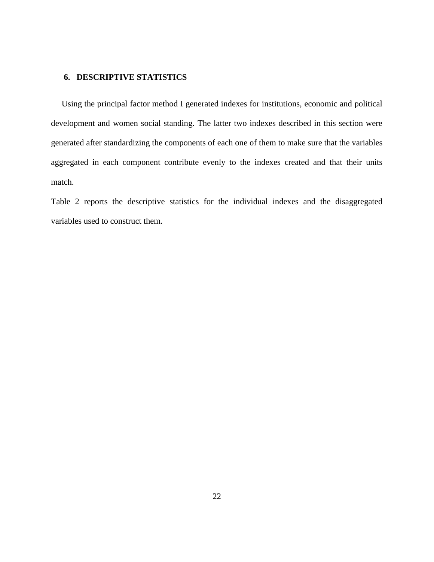## **6. DESCRIPTIVE STATISTICS**

 Using the principal factor method I generated indexes for institutions, economic and political development and women social standing. The latter two indexes described in this section were generated after standardizing the components of each one of them to make sure that the variables aggregated in each component contribute evenly to the indexes created and that their units match.

Table 2 reports the descriptive statistics for the individual indexes and the disaggregated variables used to construct them.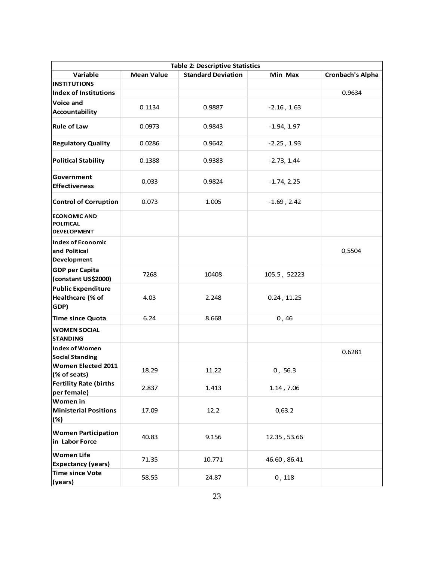| <b>Table 2: Descriptive Statistics</b>                        |                   |                           |                  |                         |  |  |  |  |
|---------------------------------------------------------------|-------------------|---------------------------|------------------|-------------------------|--|--|--|--|
| Variable                                                      | <b>Mean Value</b> | <b>Standard Deviation</b> | Min Max          | <b>Cronbach's Alpha</b> |  |  |  |  |
| <b>INSTITUTIONS</b>                                           |                   |                           |                  |                         |  |  |  |  |
| <b>Index of Institutions</b>                                  |                   |                           |                  | 0.9634                  |  |  |  |  |
| Voice and<br>Accountability                                   | 0.1134            | 0.9887                    | $-2.16, 1.63$    |                         |  |  |  |  |
| <b>Rule of Law</b>                                            | 0.0973            | 0.9843                    | $-1.94, 1.97$    |                         |  |  |  |  |
| <b>Regulatory Quality</b>                                     | 0.0286            | 0.9642                    | $-2.25$ , 1.93   |                         |  |  |  |  |
| <b>Political Stability</b>                                    | 0.1388            | 0.9383                    | $-2.73, 1.44$    |                         |  |  |  |  |
| Government<br><b>Effectiveness</b>                            | 0.033             | 0.9824                    | $-1.74, 2.25$    |                         |  |  |  |  |
| <b>Control of Corruption</b>                                  | 0.073             | 1.005                     | $-1.69$ , $2.42$ |                         |  |  |  |  |
| <b>ECONOMIC AND</b><br><b>POLITICAL</b><br><b>DEVELOPMENT</b> |                   |                           |                  |                         |  |  |  |  |
| <b>Index of Economic</b><br>and Political<br>Development      |                   |                           |                  | 0.5504                  |  |  |  |  |
| <b>GDP per Capita</b><br>(constant US\$2000)                  | 7268              | 10408                     | 105.5, 52223     |                         |  |  |  |  |
| <b>Public Expenditure</b><br>Healthcare (% of<br>GDP)         | 4.03              | 2.248                     | 0.24, 11.25      |                         |  |  |  |  |
| <b>Time since Quota</b>                                       | 6.24              | 8.668                     | 0,46             |                         |  |  |  |  |
| <b>WOMEN SOCIAL</b><br><b>STANDING</b>                        |                   |                           |                  |                         |  |  |  |  |
| Index of Women<br><b>Social Standing</b>                      |                   |                           |                  | 0.6281                  |  |  |  |  |
| Women Elected 2011<br>(% of seats)                            | 18.29             | 11.22                     | 0, 56.3          |                         |  |  |  |  |
| <b>Fertility Rate (births</b><br>per female)                  | 2.837             | 1.413                     | 1.14, 7.06       |                         |  |  |  |  |
| Women in<br><b>Ministerial Positions</b><br>(%)               | 17.09             | 12.2                      | 0,63.2           |                         |  |  |  |  |
| <b>Women Participation</b><br>in Labor Force                  | 40.83             | 9.156                     | 12.35, 53.66     |                         |  |  |  |  |
| <b>Women Life</b><br><b>Expectancy (years)</b>                | 71.35             | 10.771                    | 46.60, 86.41     |                         |  |  |  |  |
| <b>Time since Vote</b><br>(years)                             | 58.55             | 24.87                     | 0,118            |                         |  |  |  |  |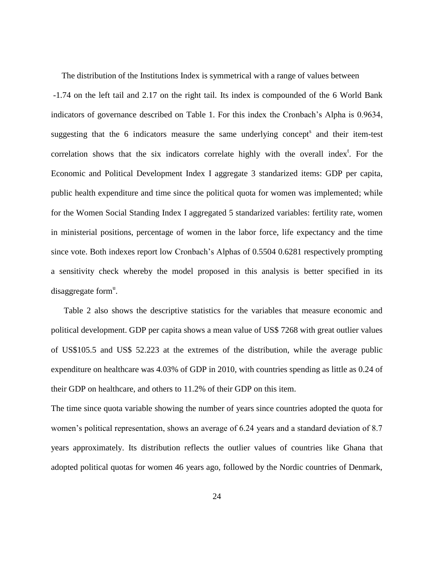The distribution of the Institutions Index is symmetrical with a range of values between -1.74 on the left tail and 2.17 on the right tail. Its index is compounded of the 6 World Bank indicators of governance described on Table 1. For this index the Cronbach's Alpha is 0.9634, suggesting that the 6 indicators measure the same underlying concept<sup>s</sup> and their item-test correlation shows that the six indicators correlate highly with the overall index<sup>t</sup>. For the Economic and Political Development Index I aggregate 3 standarized items: GDP per capita, public health expenditure and time since the political quota for women was implemented; while for the Women Social Standing Index I aggregated 5 standarized variables: fertility rate, women in ministerial positions, percentage of women in the labor force, life expectancy and the time since vote. Both indexes report low Cronbach's Alphas of 0.5504 0.6281 respectively prompting a sensitivity check whereby the model proposed in this analysis is better specified in its disaggregate form<sup>u</sup>.

 Table 2 also shows the descriptive statistics for the variables that measure economic and political development. GDP per capita shows a mean value of US\$ 7268 with great outlier values of US\$105.5 and US\$ 52.223 at the extremes of the distribution, while the average public expenditure on healthcare was 4.03% of GDP in 2010, with countries spending as little as 0.24 of their GDP on healthcare, and others to 11.2% of their GDP on this item.

The time since quota variable showing the number of years since countries adopted the quota for women's political representation, shows an average of 6.24 years and a standard deviation of 8.7 years approximately. Its distribution reflects the outlier values of countries like Ghana that adopted political quotas for women 46 years ago, followed by the Nordic countries of Denmark,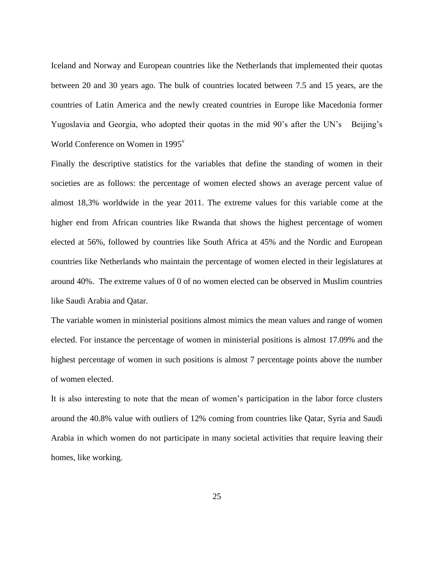Iceland and Norway and European countries like the Netherlands that implemented their quotas between 20 and 30 years ago. The bulk of countries located between 7.5 and 15 years, are the countries of Latin America and the newly created countries in Europe like Macedonia former Yugoslavia and Georgia, who adopted their quotas in the mid 90's after the UN's Beijing's World Conference on Women in  $1995^{\rm v}$ 

Finally the descriptive statistics for the variables that define the standing of women in their societies are as follows: the percentage of women elected shows an average percent value of almost 18,3% worldwide in the year 2011. The extreme values for this variable come at the higher end from African countries like Rwanda that shows the highest percentage of women elected at 56%, followed by countries like South Africa at 45% and the Nordic and European countries like Netherlands who maintain the percentage of women elected in their legislatures at around 40%. The extreme values of 0 of no women elected can be observed in Muslim countries like Saudi Arabia and Qatar.

The variable women in ministerial positions almost mimics the mean values and range of women elected. For instance the percentage of women in ministerial positions is almost 17.09% and the highest percentage of women in such positions is almost 7 percentage points above the number of women elected.

It is also interesting to note that the mean of women's participation in the labor force clusters around the 40.8% value with outliers of 12% coming from countries like Qatar, Syria and Saudi Arabia in which women do not participate in many societal activities that require leaving their homes, like working.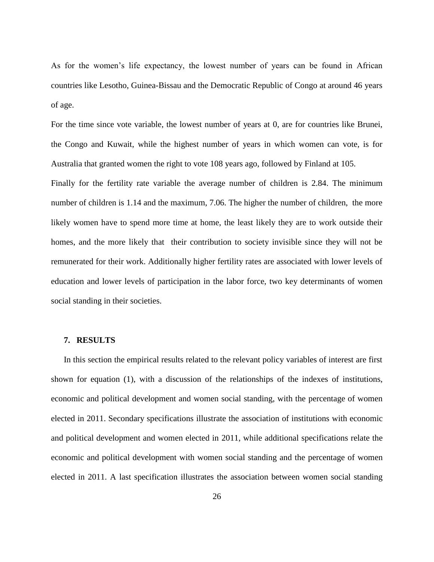As for the women's life expectancy, the lowest number of years can be found in African countries like Lesotho, Guinea-Bissau and the Democratic Republic of Congo at around 46 years of age.

For the time since vote variable, the lowest number of years at 0, are for countries like Brunei, the Congo and Kuwait, while the highest number of years in which women can vote, is for Australia that granted women the right to vote 108 years ago, followed by Finland at 105.

Finally for the fertility rate variable the average number of children is 2.84. The minimum number of children is 1.14 and the maximum, 7.06. The higher the number of children, the more likely women have to spend more time at home, the least likely they are to work outside their homes, and the more likely that their contribution to society invisible since they will not be remunerated for their work. Additionally higher fertility rates are associated with lower levels of education and lower levels of participation in the labor force, two key determinants of women social standing in their societies.

#### **7. RESULTS**

 In this section the empirical results related to the relevant policy variables of interest are first shown for equation (1), with a discussion of the relationships of the indexes of institutions, economic and political development and women social standing, with the percentage of women elected in 2011. Secondary specifications illustrate the association of institutions with economic and political development and women elected in 2011, while additional specifications relate the economic and political development with women social standing and the percentage of women elected in 2011. A last specification illustrates the association between women social standing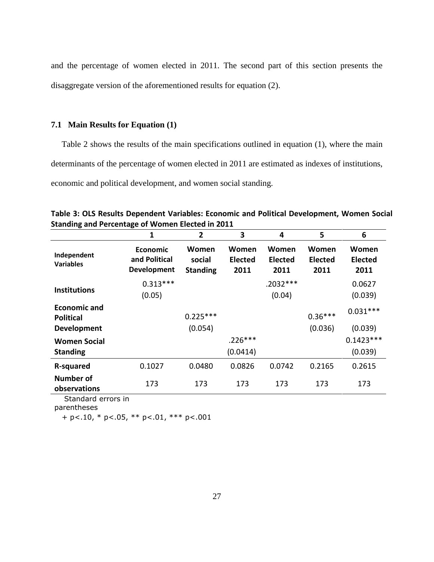and the percentage of women elected in 2011. The second part of this section presents the disaggregate version of the aforementioned results for equation (2).

# **7.1 Main Results for Equation (1)**

 Table 2 shows the results of the main specifications outlined in equation (1), where the main determinants of the percentage of women elected in 2011 are estimated as indexes of institutions, economic and political development, and women social standing.

|                                                        | 1                                                      | $\mathbf{2}$                       | 3                               | 4                        | 5                               | 6                               |
|--------------------------------------------------------|--------------------------------------------------------|------------------------------------|---------------------------------|--------------------------|---------------------------------|---------------------------------|
| Independent<br><b>Variables</b>                        | <b>Economic</b><br>and Political<br><b>Development</b> | Women<br>social<br><b>Standing</b> | Women<br><b>Elected</b><br>2011 | Women<br>Elected<br>2011 | Women<br><b>Elected</b><br>2011 | Women<br><b>Elected</b><br>2011 |
| <b>Institutions</b>                                    | $0.313***$<br>(0.05)                                   |                                    |                                 | $.2032***$<br>(0.04)     |                                 | 0.0627<br>(0.039)               |
| <b>Economic and</b><br><b>Political</b><br>Development |                                                        | $0.225***$<br>(0.054)              |                                 |                          | $0.36***$<br>(0.036)            | $0.031***$<br>(0.039)           |
| <b>Women Social</b><br><b>Standing</b>                 |                                                        |                                    | $.226***$<br>(0.0414)           |                          |                                 | $0.1423***$<br>(0.039)          |
| R-squared                                              | 0.1027                                                 | 0.0480                             | 0.0826                          | 0.0742                   | 0.2165                          | 0.2615                          |
| <b>Number of</b><br>observations                       | 173                                                    | 173                                | 173                             | 173                      | 173                             | 173                             |

**Table 3: OLS Results Dependent Variables: Economic and Political Development, Women Social Standing and Percentage of Women Elected in 2011**

Standard errors in

parentheses

 $+ p<.10$ , \*  $p<.05$ , \*\*  $p<.01$ , \*\*\*  $p<.001$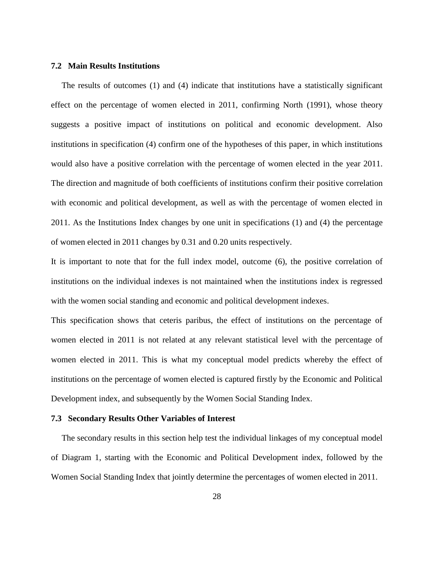#### **7.2 Main Results Institutions**

 The results of outcomes (1) and (4) indicate that institutions have a statistically significant effect on the percentage of women elected in 2011, confirming North (1991), whose theory suggests a positive impact of institutions on political and economic development. Also institutions in specification (4) confirm one of the hypotheses of this paper, in which institutions would also have a positive correlation with the percentage of women elected in the year 2011. The direction and magnitude of both coefficients of institutions confirm their positive correlation with economic and political development, as well as with the percentage of women elected in 2011. As the Institutions Index changes by one unit in specifications (1) and (4) the percentage of women elected in 2011 changes by 0.31 and 0.20 units respectively.

It is important to note that for the full index model, outcome (6), the positive correlation of institutions on the individual indexes is not maintained when the institutions index is regressed with the women social standing and economic and political development indexes.

This specification shows that ceteris paribus, the effect of institutions on the percentage of women elected in 2011 is not related at any relevant statistical level with the percentage of women elected in 2011. This is what my conceptual model predicts whereby the effect of institutions on the percentage of women elected is captured firstly by the Economic and Political Development index, and subsequently by the Women Social Standing Index.

### **7.3 Secondary Results Other Variables of Interest**

 The secondary results in this section help test the individual linkages of my conceptual model of Diagram 1, starting with the Economic and Political Development index, followed by the Women Social Standing Index that jointly determine the percentages of women elected in 2011.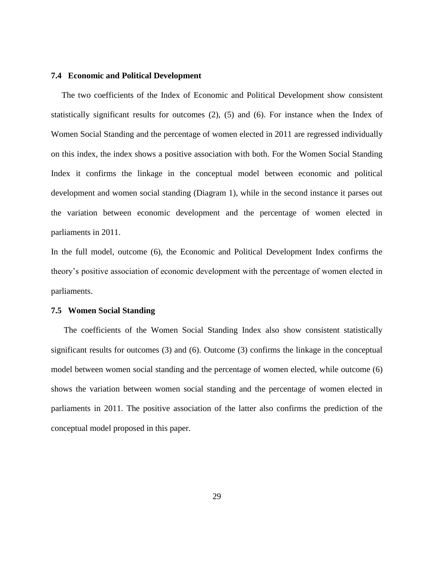#### **7.4 Economic and Political Development**

 The two coefficients of the Index of Economic and Political Development show consistent statistically significant results for outcomes (2), (5) and (6). For instance when the Index of Women Social Standing and the percentage of women elected in 2011 are regressed individually on this index, the index shows a positive association with both. For the Women Social Standing Index it confirms the linkage in the conceptual model between economic and political development and women social standing (Diagram 1), while in the second instance it parses out the variation between economic development and the percentage of women elected in parliaments in 2011.

In the full model, outcome (6), the Economic and Political Development Index confirms the theory's positive association of economic development with the percentage of women elected in parliaments.

#### **7.5 Women Social Standing**

 The coefficients of the Women Social Standing Index also show consistent statistically significant results for outcomes (3) and (6). Outcome (3) confirms the linkage in the conceptual model between women social standing and the percentage of women elected, while outcome (6) shows the variation between women social standing and the percentage of women elected in parliaments in 2011. The positive association of the latter also confirms the prediction of the conceptual model proposed in this paper.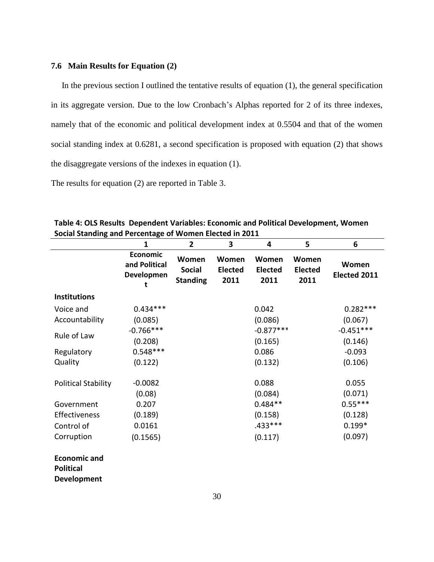#### **7.6 Main Results for Equation (2)**

 In the previous section I outlined the tentative results of equation (1), the general specification in its aggregate version. Due to the low Cronbach's Alphas reported for 2 of its three indexes, namely that of the economic and political development index at 0.5504 and that of the women social standing index at 0.6281, a second specification is proposed with equation (2) that shows the disaggregate versions of the indexes in equation (1).

The results for equation (2) are reported in Table 3.

| Social Standing and Fertentage or women Lietted in 2011       |                                                |                                           |                                 |                                 |                                 |                       |  |
|---------------------------------------------------------------|------------------------------------------------|-------------------------------------------|---------------------------------|---------------------------------|---------------------------------|-----------------------|--|
|                                                               | $\mathbf{1}$                                   | $\overline{2}$                            | 3                               | 4                               | 5                               | 6                     |  |
|                                                               | <b>Economic</b><br>and Political<br>Developmen | Women<br><b>Social</b><br><b>Standing</b> | Women<br><b>Elected</b><br>2011 | Women<br><b>Elected</b><br>2011 | Women<br><b>Elected</b><br>2011 | Women<br>Elected 2011 |  |
| <b>Institutions</b>                                           |                                                |                                           |                                 |                                 |                                 |                       |  |
| Voice and                                                     | $0.434***$                                     |                                           |                                 | 0.042                           |                                 | $0.282***$            |  |
| Accountability                                                | (0.085)                                        |                                           |                                 | (0.086)                         |                                 | (0.067)               |  |
| Rule of Law                                                   | $-0.766***$                                    |                                           |                                 | $-0.877***$                     |                                 | $-0.451***$           |  |
|                                                               | (0.208)                                        |                                           |                                 | (0.165)                         |                                 | (0.146)               |  |
| Regulatory                                                    | $0.548***$                                     |                                           |                                 | 0.086                           |                                 | $-0.093$              |  |
| Quality                                                       | (0.122)                                        |                                           |                                 | (0.132)                         |                                 | (0.106)               |  |
| <b>Political Stability</b>                                    | $-0.0082$                                      |                                           |                                 | 0.088                           |                                 | 0.055                 |  |
|                                                               | (0.08)                                         |                                           |                                 | (0.084)                         |                                 | (0.071)               |  |
| Government                                                    | 0.207                                          |                                           |                                 | $0.484**$                       |                                 | $0.55***$             |  |
| Effectiveness                                                 | (0.189)                                        |                                           |                                 | (0.158)                         |                                 | (0.128)               |  |
| Control of                                                    | 0.0161                                         |                                           |                                 | .433 ***                        |                                 | $0.199*$              |  |
| Corruption                                                    | (0.1565)                                       |                                           |                                 | (0.117)                         |                                 | (0.097)               |  |
| <b>Economic and</b><br><b>Political</b><br><b>Development</b> |                                                |                                           |                                 |                                 |                                 |                       |  |

**Table 4: OLS Results Dependent Variables: Economic and Political Development, Women Social Standing and Percentage of Women Elected in 2011**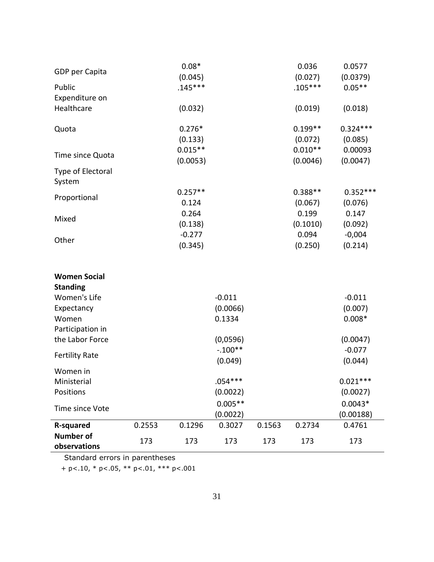| GDP per Capita                         |        | $0.08*$   |           |        | 0.036     | 0.0577     |
|----------------------------------------|--------|-----------|-----------|--------|-----------|------------|
|                                        |        | (0.045)   |           |        | (0.027)   | (0.0379)   |
| Public                                 |        | $.145***$ |           |        | $.105***$ | $0.05**$   |
| Expenditure on<br>Healthcare           |        | (0.032)   |           |        | (0.019)   |            |
|                                        |        |           |           |        |           | (0.018)    |
| Quota                                  |        | $0.276*$  |           |        | $0.199**$ | $0.324***$ |
|                                        |        | (0.133)   |           |        | (0.072)   | (0.085)    |
|                                        |        | $0.015**$ |           |        | $0.010**$ | 0.00093    |
| Time since Quota                       |        | (0.0053)  |           |        | (0.0046)  | (0.0047)   |
| Type of Electoral<br>System            |        |           |           |        |           |            |
| Proportional                           |        | $0.257**$ |           |        | $0.388**$ | $0.352***$ |
|                                        |        | 0.124     |           |        | (0.067)   | (0.076)    |
| Mixed                                  |        | 0.264     |           |        | 0.199     | 0.147      |
|                                        |        | (0.138)   |           |        | (0.1010)  | (0.092)    |
|                                        |        | $-0.277$  |           |        | 0.094     | $-0,004$   |
| Other                                  |        | (0.345)   |           |        | (0.250)   | (0.214)    |
|                                        |        |           |           |        |           |            |
| <b>Women Social</b><br><b>Standing</b> |        |           |           |        |           |            |
| Women's Life                           |        |           | $-0.011$  |        |           | $-0.011$   |
| Expectancy                             |        |           | (0.0066)  |        |           | (0.007)    |
| Women                                  |        |           | 0.1334    |        |           | $0.008*$   |
| Participation in                       |        |           |           |        |           |            |
| the Labor Force                        |        |           | (0,0596)  |        |           | (0.0047)   |
|                                        |        |           | $-.100**$ |        |           | $-0.077$   |
| <b>Fertility Rate</b>                  |        |           | (0.049)   |        |           | (0.044)    |
| Women in                               |        |           |           |        |           |            |
| Ministerial                            |        |           | $.054***$ |        |           | $0.021***$ |
| Positions                              |        |           | (0.0022)  |        |           | (0.0027)   |
|                                        |        |           | $0.005**$ |        |           | $0.0043*$  |
| Time since Vote                        |        |           | (0.0022)  |        |           | (0.00188)  |
| R-squared                              | 0.2553 | 0.1296    | 0.3027    | 0.1563 | 0.2734    | 0.4761     |
| <b>Number of</b><br>observations       | 173    | 173       | 173       | 173    | 173       | 173        |

Standard errors in parentheses

+ p<.10, \* p<.05, \*\* p<.01, \*\*\* p<.001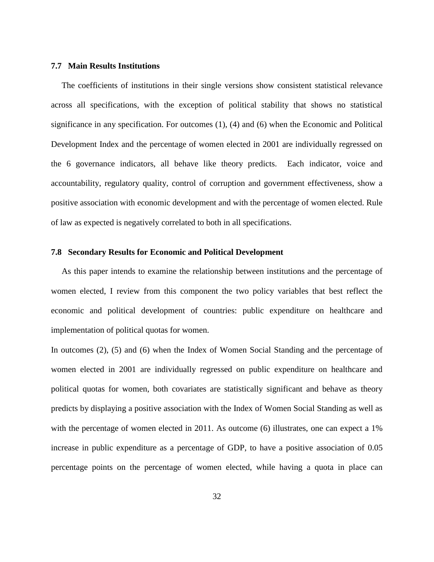#### **7.7 Main Results Institutions**

 The coefficients of institutions in their single versions show consistent statistical relevance across all specifications, with the exception of political stability that shows no statistical significance in any specification. For outcomes (1), (4) and (6) when the Economic and Political Development Index and the percentage of women elected in 2001 are individually regressed on the 6 governance indicators, all behave like theory predicts. Each indicator, voice and accountability, regulatory quality, control of corruption and government effectiveness, show a positive association with economic development and with the percentage of women elected. Rule of law as expected is negatively correlated to both in all specifications.

#### **7.8 Secondary Results for Economic and Political Development**

 As this paper intends to examine the relationship between institutions and the percentage of women elected, I review from this component the two policy variables that best reflect the economic and political development of countries: public expenditure on healthcare and implementation of political quotas for women.

In outcomes (2), (5) and (6) when the Index of Women Social Standing and the percentage of women elected in 2001 are individually regressed on public expenditure on healthcare and political quotas for women, both covariates are statistically significant and behave as theory predicts by displaying a positive association with the Index of Women Social Standing as well as with the percentage of women elected in 2011. As outcome (6) illustrates, one can expect a 1% increase in public expenditure as a percentage of GDP, to have a positive association of 0.05 percentage points on the percentage of women elected, while having a quota in place can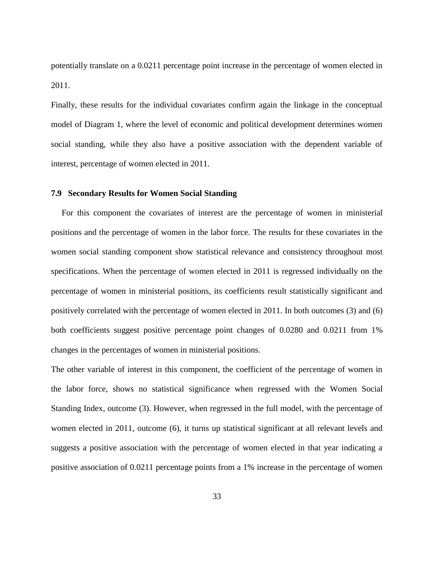potentially translate on a 0.0211 percentage point increase in the percentage of women elected in 2011.

Finally, these results for the individual covariates confirm again the linkage in the conceptual model of Diagram 1, where the level of economic and political development determines women social standing, while they also have a positive association with the dependent variable of interest, percentage of women elected in 2011.

### **7.9 Secondary Results for Women Social Standing**

 For this component the covariates of interest are the percentage of women in ministerial positions and the percentage of women in the labor force. The results for these covariates in the women social standing component show statistical relevance and consistency throughout most specifications. When the percentage of women elected in 2011 is regressed individually on the percentage of women in ministerial positions, its coefficients result statistically significant and positively correlated with the percentage of women elected in 2011. In both outcomes (3) and (6) both coefficients suggest positive percentage point changes of 0.0280 and 0.0211 from 1% changes in the percentages of women in ministerial positions.

The other variable of interest in this component, the coefficient of the percentage of women in the labor force, shows no statistical significance when regressed with the Women Social Standing Index, outcome (3). However, when regressed in the full model, with the percentage of women elected in 2011, outcome (6), it turns up statistical significant at all relevant levels and suggests a positive association with the percentage of women elected in that year indicating a positive association of 0.0211 percentage points from a 1% increase in the percentage of women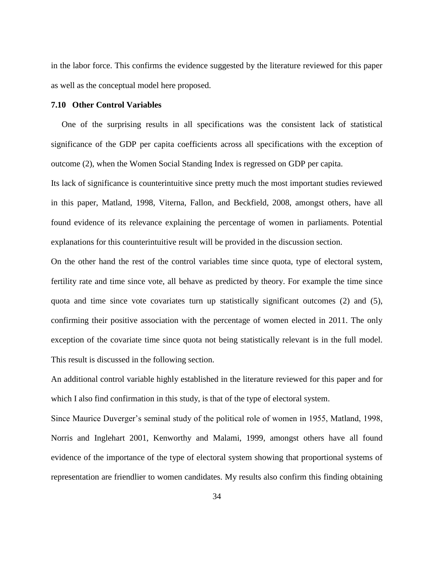in the labor force. This confirms the evidence suggested by the literature reviewed for this paper as well as the conceptual model here proposed.

#### **7.10 Other Control Variables**

 One of the surprising results in all specifications was the consistent lack of statistical significance of the GDP per capita coefficients across all specifications with the exception of outcome (2), when the Women Social Standing Index is regressed on GDP per capita.

Its lack of significance is counterintuitive since pretty much the most important studies reviewed in this paper, Matland, 1998, Viterna, Fallon, and Beckfield, 2008, amongst others, have all found evidence of its relevance explaining the percentage of women in parliaments. Potential explanations for this counterintuitive result will be provided in the discussion section.

On the other hand the rest of the control variables time since quota, type of electoral system, fertility rate and time since vote, all behave as predicted by theory. For example the time since quota and time since vote covariates turn up statistically significant outcomes (2) and (5), confirming their positive association with the percentage of women elected in 2011. The only exception of the covariate time since quota not being statistically relevant is in the full model. This result is discussed in the following section.

An additional control variable highly established in the literature reviewed for this paper and for which I also find confirmation in this study, is that of the type of electoral system.

Since Maurice Duverger's seminal study of the political role of women in 1955, Matland, 1998, Norris and Inglehart 2001, Kenworthy and Malami, 1999, amongst others have all found evidence of the importance of the type of electoral system showing that proportional systems of representation are friendlier to women candidates. My results also confirm this finding obtaining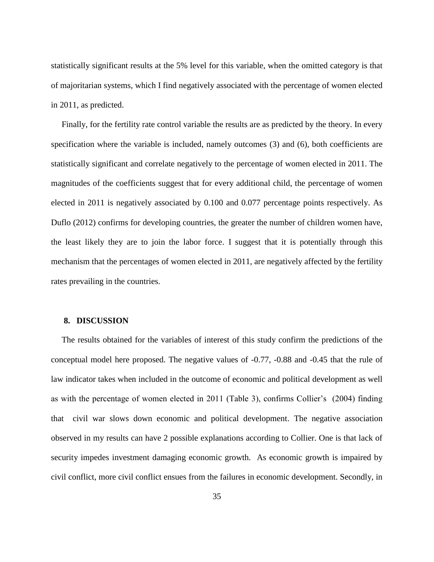statistically significant results at the 5% level for this variable, when the omitted category is that of majoritarian systems, which I find negatively associated with the percentage of women elected in 2011, as predicted.

 Finally, for the fertility rate control variable the results are as predicted by the theory. In every specification where the variable is included, namely outcomes (3) and (6), both coefficients are statistically significant and correlate negatively to the percentage of women elected in 2011. The magnitudes of the coefficients suggest that for every additional child, the percentage of women elected in 2011 is negatively associated by 0.100 and 0.077 percentage points respectively. As Duflo (2012) confirms for developing countries, the greater the number of children women have, the least likely they are to join the labor force. I suggest that it is potentially through this mechanism that the percentages of women elected in 2011, are negatively affected by the fertility rates prevailing in the countries.

#### **8. DISCUSSION**

 The results obtained for the variables of interest of this study confirm the predictions of the conceptual model here proposed. The negative values of -0.77, -0.88 and -0.45 that the rule of law indicator takes when included in the outcome of economic and political development as well as with the percentage of women elected in 2011 (Table 3), confirms Collier's (2004) finding that civil war slows down economic and political development. The negative association observed in my results can have 2 possible explanations according to Collier. One is that lack of security impedes investment damaging economic growth. As economic growth is impaired by civil conflict, more civil conflict ensues from the failures in economic development. Secondly, in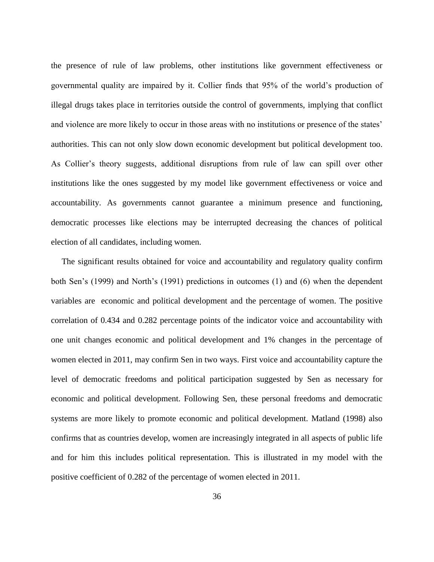the presence of rule of law problems, other institutions like government effectiveness or governmental quality are impaired by it. Collier finds that 95% of the world's production of illegal drugs takes place in territories outside the control of governments, implying that conflict and violence are more likely to occur in those areas with no institutions or presence of the states' authorities. This can not only slow down economic development but political development too. As Collier's theory suggests, additional disruptions from rule of law can spill over other institutions like the ones suggested by my model like government effectiveness or voice and accountability. As governments cannot guarantee a minimum presence and functioning, democratic processes like elections may be interrupted decreasing the chances of political election of all candidates, including women.

 The significant results obtained for voice and accountability and regulatory quality confirm both Sen's (1999) and North's (1991) predictions in outcomes (1) and (6) when the dependent variables are economic and political development and the percentage of women. The positive correlation of 0.434 and 0.282 percentage points of the indicator voice and accountability with one unit changes economic and political development and 1% changes in the percentage of women elected in 2011, may confirm Sen in two ways. First voice and accountability capture the level of democratic freedoms and political participation suggested by Sen as necessary for economic and political development. Following Sen, these personal freedoms and democratic systems are more likely to promote economic and political development. Matland (1998) also confirms that as countries develop, women are increasingly integrated in all aspects of public life and for him this includes political representation. This is illustrated in my model with the positive coefficient of 0.282 of the percentage of women elected in 2011.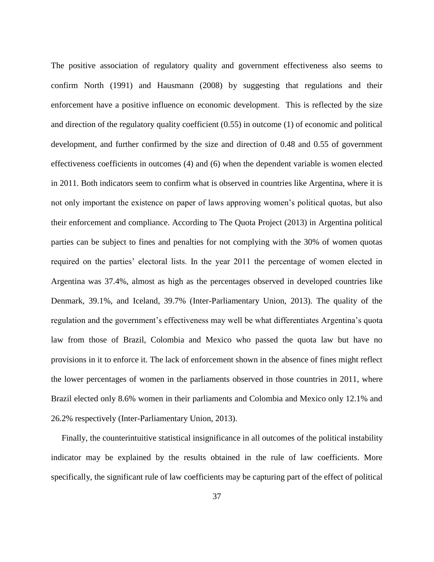The positive association of regulatory quality and government effectiveness also seems to confirm North (1991) and Hausmann (2008) by suggesting that regulations and their enforcement have a positive influence on economic development. This is reflected by the size and direction of the regulatory quality coefficient (0.55) in outcome (1) of economic and political development, and further confirmed by the size and direction of 0.48 and 0.55 of government effectiveness coefficients in outcomes (4) and (6) when the dependent variable is women elected in 2011. Both indicators seem to confirm what is observed in countries like Argentina, where it is not only important the existence on paper of laws approving women's political quotas, but also their enforcement and compliance. According to The Quota Project (2013) in Argentina political parties can be subject to fines and penalties for not complying with the 30% of women quotas required on the parties' electoral lists. In the year 2011 the percentage of women elected in Argentina was 37.4%, almost as high as the percentages observed in developed countries like Denmark, 39.1%, and Iceland, 39.7% (Inter-Parliamentary Union, 2013). The quality of the regulation and the government's effectiveness may well be what differentiates Argentina's quota law from those of Brazil, Colombia and Mexico who passed the quota law but have no provisions in it to enforce it. The lack of enforcement shown in the absence of fines might reflect the lower percentages of women in the parliaments observed in those countries in 2011, where Brazil elected only 8.6% women in their parliaments and Colombia and Mexico only 12.1% and 26.2% respectively (Inter-Parliamentary Union, 2013).

 Finally, the counterintuitive statistical insignificance in all outcomes of the political instability indicator may be explained by the results obtained in the rule of law coefficients. More specifically, the significant rule of law coefficients may be capturing part of the effect of political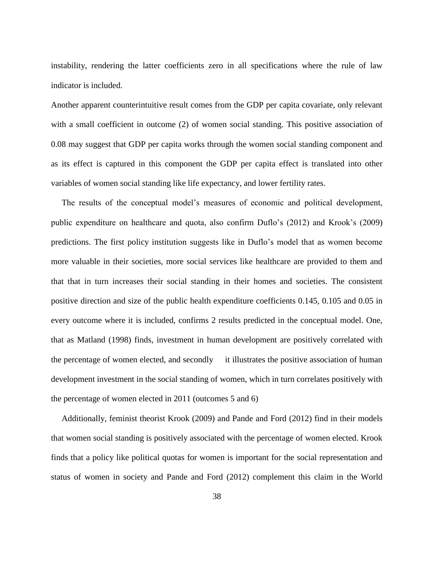instability, rendering the latter coefficients zero in all specifications where the rule of law indicator is included.

Another apparent counterintuitive result comes from the GDP per capita covariate, only relevant with a small coefficient in outcome (2) of women social standing. This positive association of 0.08 may suggest that GDP per capita works through the women social standing component and as its effect is captured in this component the GDP per capita effect is translated into other variables of women social standing like life expectancy, and lower fertility rates.

 The results of the conceptual model's measures of economic and political development, public expenditure on healthcare and quota, also confirm Duflo's (2012) and Krook's (2009) predictions. The first policy institution suggests like in Duflo's model that as women become more valuable in their societies, more social services like healthcare are provided to them and that that in turn increases their social standing in their homes and societies. The consistent positive direction and size of the public health expenditure coefficients 0.145, 0.105 and 0.05 in every outcome where it is included, confirms 2 results predicted in the conceptual model. One, that as Matland (1998) finds, investment in human development are positively correlated with the percentage of women elected, and secondly it illustrates the positive association of human development investment in the social standing of women, which in turn correlates positively with the percentage of women elected in 2011 (outcomes 5 and 6)

 Additionally, feminist theorist Krook (2009) and Pande and Ford (2012) find in their models that women social standing is positively associated with the percentage of women elected. Krook finds that a policy like political quotas for women is important for the social representation and status of women in society and Pande and Ford (2012) complement this claim in the World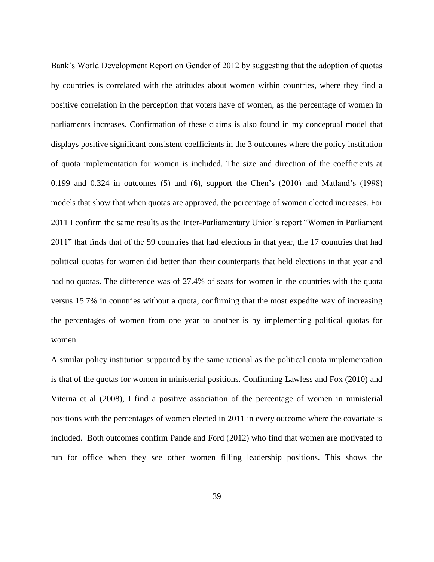Bank's World Development Report on Gender of 2012 by suggesting that the adoption of quotas by countries is correlated with the attitudes about women within countries, where they find a positive correlation in the perception that voters have of women, as the percentage of women in parliaments increases. Confirmation of these claims is also found in my conceptual model that displays positive significant consistent coefficients in the 3 outcomes where the policy institution of quota implementation for women is included. The size and direction of the coefficients at 0.199 and 0.324 in outcomes (5) and (6), support the Chen's (2010) and Matland's (1998) models that show that when quotas are approved, the percentage of women elected increases. For 2011 I confirm the same results as the Inter-Parliamentary Union's report "Women in Parliament 2011" that finds that of the 59 countries that had elections in that year, the 17 countries that had political quotas for women did better than their counterparts that held elections in that year and had no quotas. The difference was of 27.4% of seats for women in the countries with the quota versus 15.7% in countries without a quota, confirming that the most expedite way of increasing the percentages of women from one year to another is by implementing political quotas for women.

A similar policy institution supported by the same rational as the political quota implementation is that of the quotas for women in ministerial positions. Confirming Lawless and Fox (2010) and Viterna et al (2008), I find a positive association of the percentage of women in ministerial positions with the percentages of women elected in 2011 in every outcome where the covariate is included. Both outcomes confirm Pande and Ford (2012) who find that women are motivated to run for office when they see other women filling leadership positions. This shows the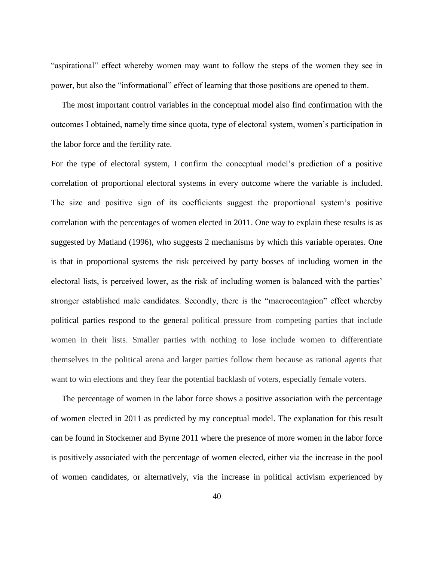"aspirational" effect whereby women may want to follow the steps of the women they see in power, but also the "informational" effect of learning that those positions are opened to them.

 The most important control variables in the conceptual model also find confirmation with the outcomes I obtained, namely time since quota, type of electoral system, women's participation in the labor force and the fertility rate.

For the type of electoral system, I confirm the conceptual model's prediction of a positive correlation of proportional electoral systems in every outcome where the variable is included. The size and positive sign of its coefficients suggest the proportional system's positive correlation with the percentages of women elected in 2011. One way to explain these results is as suggested by Matland (1996), who suggests 2 mechanisms by which this variable operates. One is that in proportional systems the risk perceived by party bosses of including women in the electoral lists, is perceived lower, as the risk of including women is balanced with the parties' stronger established male candidates. Secondly, there is the "macrocontagion" effect whereby political parties respond to the general political pressure from competing parties that include women in their lists. Smaller parties with nothing to lose include women to differentiate themselves in the political arena and larger parties follow them because as rational agents that want to win elections and they fear the potential backlash of voters, especially female voters.

 The percentage of women in the labor force shows a positive association with the percentage of women elected in 2011 as predicted by my conceptual model. The explanation for this result can be found in Stockemer and Byrne 2011 where the presence of more women in the labor force is positively associated with the percentage of women elected, either via the increase in the pool of women candidates, or alternatively, via the increase in political activism experienced by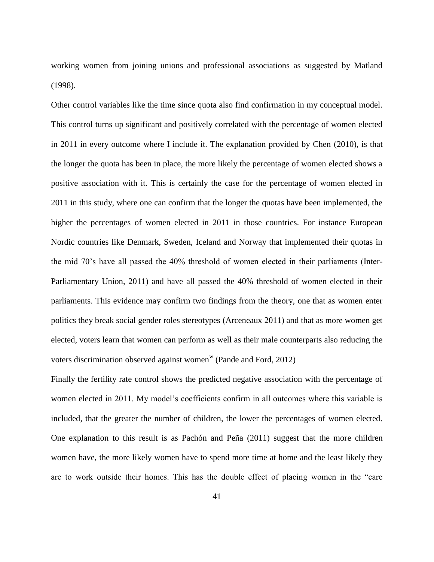working women from joining unions and professional associations as suggested by Matland (1998).

Other control variables like the time since quota also find confirmation in my conceptual model. This control turns up significant and positively correlated with the percentage of women elected in 2011 in every outcome where I include it. The explanation provided by Chen (2010), is that the longer the quota has been in place, the more likely the percentage of women elected shows a positive association with it. This is certainly the case for the percentage of women elected in 2011 in this study, where one can confirm that the longer the quotas have been implemented, the higher the percentages of women elected in 2011 in those countries. For instance European Nordic countries like Denmark, Sweden, Iceland and Norway that implemented their quotas in the mid 70's have all passed the 40% threshold of women elected in their parliaments (Inter-Parliamentary Union, 2011) and have all passed the 40% threshold of women elected in their parliaments. This evidence may confirm two findings from the theory, one that as women enter politics they break social gender roles stereotypes (Arceneaux 2011) and that as more women get elected, voters learn that women can perform as well as their male counterparts also reducing the voters discrimination observed against women<sup>w</sup> (Pande and Ford, 2012)

Finally the fertility rate control shows the predicted negative association with the percentage of women elected in 2011. My model's coefficients confirm in all outcomes where this variable is included, that the greater the number of children, the lower the percentages of women elected. One explanation to this result is as Pachón and Peña (2011) suggest that the more children women have, the more likely women have to spend more time at home and the least likely they are to work outside their homes. This has the double effect of placing women in the "care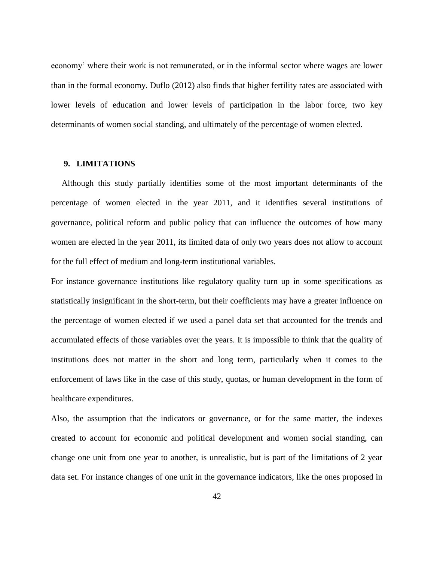economy' where their work is not remunerated, or in the informal sector where wages are lower than in the formal economy. Duflo (2012) also finds that higher fertility rates are associated with lower levels of education and lower levels of participation in the labor force, two key determinants of women social standing, and ultimately of the percentage of women elected.

## **9. LIMITATIONS**

 Although this study partially identifies some of the most important determinants of the percentage of women elected in the year 2011, and it identifies several institutions of governance, political reform and public policy that can influence the outcomes of how many women are elected in the year 2011, its limited data of only two years does not allow to account for the full effect of medium and long-term institutional variables.

For instance governance institutions like regulatory quality turn up in some specifications as statistically insignificant in the short-term, but their coefficients may have a greater influence on the percentage of women elected if we used a panel data set that accounted for the trends and accumulated effects of those variables over the years. It is impossible to think that the quality of institutions does not matter in the short and long term, particularly when it comes to the enforcement of laws like in the case of this study, quotas, or human development in the form of healthcare expenditures.

Also, the assumption that the indicators or governance, or for the same matter, the indexes created to account for economic and political development and women social standing, can change one unit from one year to another, is unrealistic, but is part of the limitations of 2 year data set. For instance changes of one unit in the governance indicators, like the ones proposed in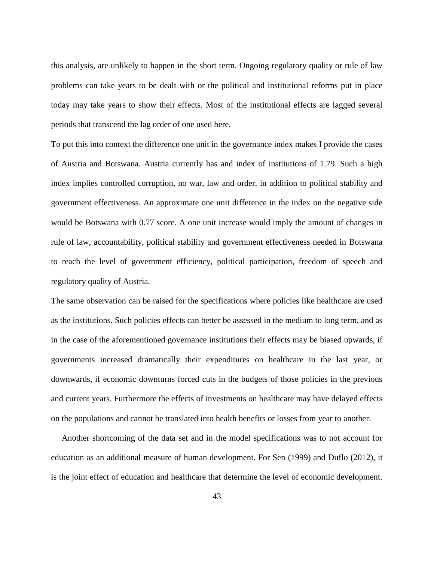this analysis, are unlikely to happen in the short term. Ongoing regulatory quality or rule of law problems can take years to be dealt with or the political and institutional reforms put in place today may take years to show their effects. Most of the institutional effects are lagged several periods that transcend the lag order of one used here.

To put this into context the difference one unit in the governance index makes I provide the cases of Austria and Botswana. Austria currently has and index of institutions of 1.79. Such a high index implies controlled corruption, no war, law and order, in addition to political stability and government effectiveness. An approximate one unit difference in the index on the negative side would be Botswana with 0.77 score. A one unit increase would imply the amount of changes in rule of law, accountability, political stability and government effectiveness needed in Botswana to reach the level of government efficiency, political participation, freedom of speech and regulatory quality of Austria.

The same observation can be raised for the specifications where policies like healthcare are used as the institutions. Such policies effects can better be assessed in the medium to long term, and as in the case of the aforementioned governance institutions their effects may be biased upwards, if governments increased dramatically their expenditures on healthcare in the last year, or downwards, if economic downturns forced cuts in the budgets of those policies in the previous and current years. Furthermore the effects of investments on healthcare may have delayed effects on the populations and cannot be translated into health benefits or losses from year to another.

 Another shortcoming of the data set and in the model specifications was to not account for education as an additional measure of human development. For Sen (1999) and Duflo (2012), it is the joint effect of education and healthcare that determine the level of economic development.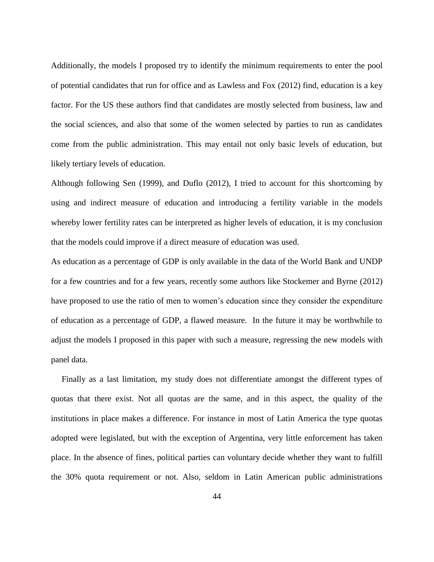Additionally, the models I proposed try to identify the minimum requirements to enter the pool of potential candidates that run for office and as Lawless and Fox (2012) find, education is a key factor. For the US these authors find that candidates are mostly selected from business, law and the social sciences, and also that some of the women selected by parties to run as candidates come from the public administration. This may entail not only basic levels of education, but likely tertiary levels of education.

Although following Sen (1999), and Duflo (2012), I tried to account for this shortcoming by using and indirect measure of education and introducing a fertility variable in the models whereby lower fertility rates can be interpreted as higher levels of education, it is my conclusion that the models could improve if a direct measure of education was used.

As education as a percentage of GDP is only available in the data of the World Bank and UNDP for a few countries and for a few years, recently some authors like Stockemer and Byrne (2012) have proposed to use the ratio of men to women's education since they consider the expenditure of education as a percentage of GDP, a flawed measure. In the future it may be worthwhile to adjust the models I proposed in this paper with such a measure, regressing the new models with panel data.

 Finally as a last limitation, my study does not differentiate amongst the different types of quotas that there exist. Not all quotas are the same, and in this aspect, the quality of the institutions in place makes a difference. For instance in most of Latin America the type quotas adopted were legislated, but with the exception of Argentina, very little enforcement has taken place. In the absence of fines, political parties can voluntary decide whether they want to fulfill the 30% quota requirement or not. Also, seldom in Latin American public administrations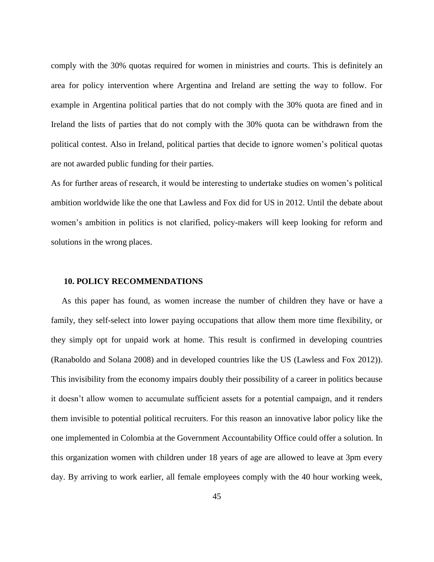comply with the 30% quotas required for women in ministries and courts. This is definitely an area for policy intervention where Argentina and Ireland are setting the way to follow. For example in Argentina political parties that do not comply with the 30% quota are fined and in Ireland the lists of parties that do not comply with the 30% quota can be withdrawn from the political contest. Also in Ireland, political parties that decide to ignore women's political quotas are not awarded public funding for their parties.

As for further areas of research, it would be interesting to undertake studies on women's political ambition worldwide like the one that Lawless and Fox did for US in 2012. Until the debate about women's ambition in politics is not clarified, policy-makers will keep looking for reform and solutions in the wrong places.

## **10. POLICY RECOMMENDATIONS**

 As this paper has found, as women increase the number of children they have or have a family, they self-select into lower paying occupations that allow them more time flexibility, or they simply opt for unpaid work at home. This result is confirmed in developing countries (Ranaboldo and Solana 2008) and in developed countries like the US (Lawless and Fox 2012)). This invisibility from the economy impairs doubly their possibility of a career in politics because it doesn't allow women to accumulate sufficient assets for a potential campaign, and it renders them invisible to potential political recruiters. For this reason an innovative labor policy like the one implemented in Colombia at the Government Accountability Office could offer a solution. In this organization women with children under 18 years of age are allowed to leave at 3pm every day. By arriving to work earlier, all female employees comply with the 40 hour working week,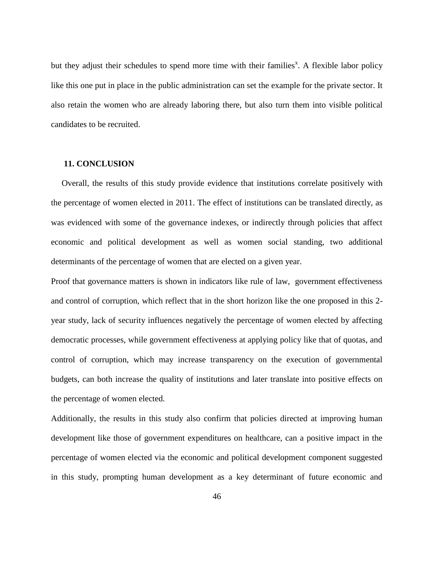but they adjust their schedules to spend more time with their families<sup>x</sup>. A flexible labor policy like this one put in place in the public administration can set the example for the private sector. It also retain the women who are already laboring there, but also turn them into visible political candidates to be recruited.

# **11. CONCLUSION**

 Overall, the results of this study provide evidence that institutions correlate positively with the percentage of women elected in 2011. The effect of institutions can be translated directly, as was evidenced with some of the governance indexes, or indirectly through policies that affect economic and political development as well as women social standing, two additional determinants of the percentage of women that are elected on a given year.

Proof that governance matters is shown in indicators like rule of law, government effectiveness and control of corruption, which reflect that in the short horizon like the one proposed in this 2 year study, lack of security influences negatively the percentage of women elected by affecting democratic processes, while government effectiveness at applying policy like that of quotas, and control of corruption, which may increase transparency on the execution of governmental budgets, can both increase the quality of institutions and later translate into positive effects on the percentage of women elected.

Additionally, the results in this study also confirm that policies directed at improving human development like those of government expenditures on healthcare, can a positive impact in the percentage of women elected via the economic and political development component suggested in this study, prompting human development as a key determinant of future economic and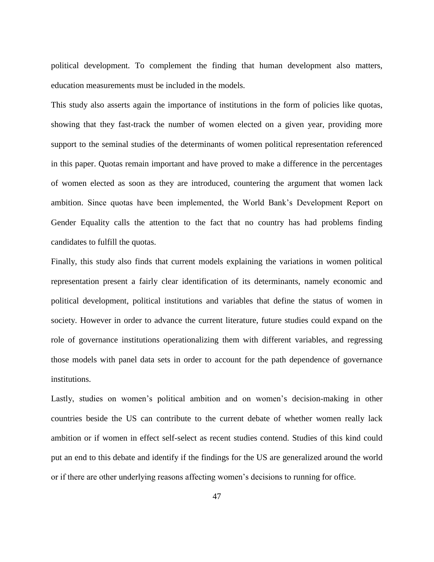political development. To complement the finding that human development also matters, education measurements must be included in the models.

This study also asserts again the importance of institutions in the form of policies like quotas, showing that they fast-track the number of women elected on a given year, providing more support to the seminal studies of the determinants of women political representation referenced in this paper. Quotas remain important and have proved to make a difference in the percentages of women elected as soon as they are introduced, countering the argument that women lack ambition. Since quotas have been implemented, the World Bank's Development Report on Gender Equality calls the attention to the fact that no country has had problems finding candidates to fulfill the quotas.

Finally, this study also finds that current models explaining the variations in women political representation present a fairly clear identification of its determinants, namely economic and political development, political institutions and variables that define the status of women in society. However in order to advance the current literature, future studies could expand on the role of governance institutions operationalizing them with different variables, and regressing those models with panel data sets in order to account for the path dependence of governance institutions.

Lastly, studies on women's political ambition and on women's decision-making in other countries beside the US can contribute to the current debate of whether women really lack ambition or if women in effect self-select as recent studies contend. Studies of this kind could put an end to this debate and identify if the findings for the US are generalized around the world or if there are other underlying reasons affecting women's decisions to running for office.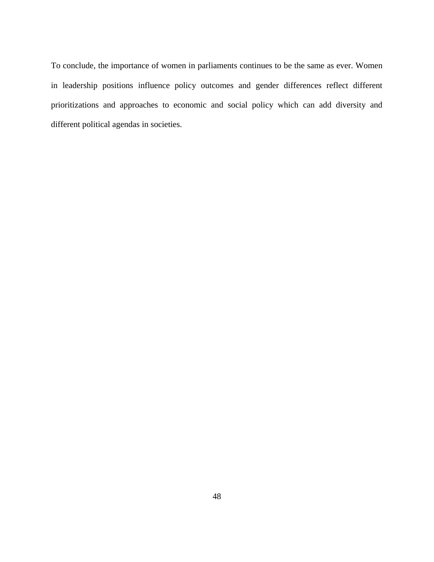To conclude, the importance of women in parliaments continues to be the same as ever. Women in leadership positions influence policy outcomes and gender differences reflect different prioritizations and approaches to economic and social policy which can add diversity and different political agendas in societies.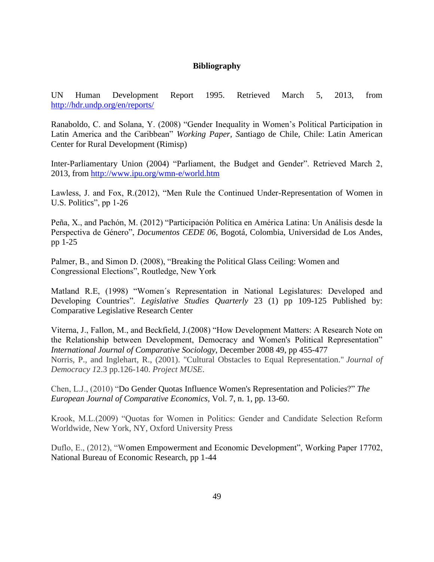# **Bibliography**

UN Human Development Report 1995. Retrieved March 5, 2013, from <http://hdr.undp.org/en/reports/>

Ranaboldo, C. and Solana, Y. (2008) "Gender Inequality in Women's Political Participation in Latin America and the Caribbean" *Working Paper, S*antiago de Chile, Chile: Latin American Center for Rural Development (Rimisp)

Inter-Parliamentary Union (2004) "Parliament, the Budget and Gender". Retrieved March 2, 2013, from<http://www.ipu.org/wmn-e/world.htm>

Lawless, J. and Fox, R.(2012), "Men Rule the Continued Under-Representation of Women in U.S. Politics", pp 1-26

Peña, X., and Pachón, M. (2012) "Participación Política en América Latina: Un Análisis desde la Perspectiva de Género", *Documentos CEDE 06*, Bogotá, Colombia, Universidad de Los Andes, pp 1-25

Palmer, B., and Simon D. (2008), "Breaking the Political Glass Ceiling: Women and Congressional Elections", Routledge, New York

Matland R.E, (1998) "Women´s Representation in National Legislatures: Developed and Developing Countries". *Legislative Studies Quarterly* 23 (1) pp 109-125 Published by: Comparative Legislative Research Center

Viterna, J., Fallon, M., and Beckfield, J.(2008) "How Development Matters: A Research Note on the Relationship between Development, Democracy and Women's Political Representation" *International Journal of Comparative Sociology*, December 2008 49, pp 455-477 Norris, P., and Inglehart, R., (2001). "Cultural Obstacles to Equal Representation." *Journal of Democracy 1*2.3 pp.126-140. *Project MUSE*.

Chen, L.J., (2010) "Do Gender Quotas Influence Women's Representation and Policies?" *The European Journal of Comparative Economics*, Vol. 7, n. 1, pp. 13-60.

Krook, M.L.(2009) "Quotas for Women in Politics: Gender and Candidate Selection Reform Worldwide, New York, NY, Oxford University Press

Duflo, E., (2012), "Women Empowerment and Economic Development", Working Paper 17702, National Bureau of Economic Research, pp 1-44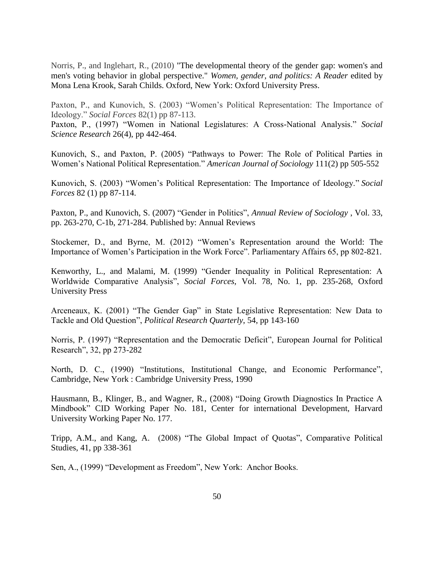Norris, P., and Inglehart, R., (2010) "The developmental theory of the gender gap: women's and men's voting behavior in global perspective." *Women, gender, and politics: A Reader* edited by Mona Lena Krook, Sarah Childs. Oxford, New York: Oxford University Press.

Paxton, P., and Kunovich, S. (2003) "Women's Political Representation: The Importance of Ideology." *Social Forces* 82(1) pp 87-113.

Paxton, P., (1997) "Women in National Legislatures: A Cross-National Analysis." *Social Science Research* 26(4), pp 442-464.

Kunovich, S., and Paxton, P. (2005) "Pathways to Power: The Role of Political Parties in Women's National Political Representation." *American Journal of Sociology* 111(2) pp 505-552

Kunovich, S. (2003) "Women's Political Representation: The Importance of Ideology." *Social Forces* 82 (1) pp 87-114.

Paxton, P., and Kunovich, S. (2007) "Gender in Politics", *Annual Review of Sociology* , Vol. 33, pp. 263-270, C-1b, 271-284. Published by: Annual Reviews

Stockemer, D., and Byrne, M. (2012) "Women's Representation around the World: The Importance of Women's Participation in the Work Force". Parliamentary Affairs 65, pp 802-821.

Kenworthy, L., and Malami, M. (1999) "Gender Inequality in Political Representation: A Worldwide Comparative Analysis", *Social Forces*, Vol. 78, No. 1, pp. 235-268, Oxford University Press

Arceneaux, K. (2001) "The Gender Gap" in State Legislative Representation: New Data to Tackle and Old Question", *Political Research Quarterly*, 54, pp 143-160

Norris, P. (1997) "Representation and the Democratic Deficit", European Journal for Political Research", 32, pp 273-282

North, D. C., (1990) "Institutions, Institutional Change, and Economic Performance", Cambridge, New York : Cambridge University Press, 1990

Hausmann, B., Klinger, B., and Wagner, R., (2008) "Doing Growth Diagnostics In Practice A Mindbook" CID Working Paper No. 181, Center for international Development, Harvard University Working Paper No. 177.

Tripp, A.M., and Kang, A. (2008) "The Global Impact of Quotas", Comparative Political Studies, 41, pp 338-361

Sen, A., (1999) "Development as Freedom", New York: Anchor Books.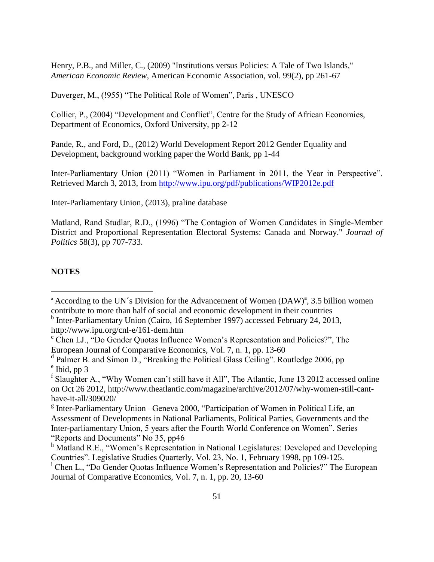Henry, P.B., and Miller, C., (2009) "Institutions versus Policies: A Tale of Two Islands," *American Economic Review*, American Economic Association, vol. 99(2), pp 261-67

Duverger, M., (!955) "The Political Role of Women", Paris , UNESCO

Collier, P., (2004) "Development and Conflict", Centre for the Study of African Economies, Department of Economics, Oxford University, pp 2-12

Pande, R., and Ford, D., (2012) World Development Report 2012 Gender Equality and Development, background working paper the World Bank, pp 1-44

Inter-Parliamentary Union (2011) "Women in Parliament in 2011, the Year in Perspective". Retrieved March 3, 2013, from<http://www.ipu.org/pdf/publications/WIP2012e.pdf>

Inter-Parliamentary Union, (2013), praline database

Matland, Rand Studlar, R.D., (1996) "The Contagion of Women Candidates in Single-Member District and Proportional Representation Electoral Systems: Canada and Norway." *Journal of Politics* 58(3), pp 707-733.

#### **NOTES**

 $\overline{a}$ 

<sup>&</sup>lt;sup>a</sup> According to the UN's Division for the Advancement of Women  $(DAW)^{a}$ , 3.5 billion women contribute to more than half of social and economic development in their countries

<sup>&</sup>lt;sup>b</sup> Inter-Parliamentary Union (Cairo, 16 September 1997) accessed February 24, 2013, http://www.ipu.org/cnl-e/161-dem.htm

<sup>c</sup> Chen LJ., "Do Gender Quotas Influence Women's Representation and Policies?", The European Journal of Comparative Economics, Vol. 7, n. 1, pp. 13-60

<sup>&</sup>lt;sup>d</sup> Palmer B. and Simon D., "Breaking the Political Glass Ceiling". Routledge 2006, pp <sup>e</sup> Ibid, pp 3

<sup>&</sup>lt;sup>f</sup> Slaughter A., "Why Women can't still have it All", The Atlantic, June 13 2012 accessed online on Oct 26 2012, http://www.theatlantic.com/magazine/archive/2012/07/why-women-still-canthave-it-all/309020/

<sup>&</sup>lt;sup>g</sup> Inter-Parliamentary Union - Geneva 2000, "Participation of Women in Political Life, an Assessment of Developments in National Parliaments, Political Parties, Governments and the Inter-parliamentary Union, 5 years after the Fourth World Conference on Women". Series "Reports and Documents" No 35, pp46

h Matland R.E., "Women's Representation in National Legislatures: Developed and Developing Countries". Legislative Studies Quarterly, Vol. 23, No. 1, February 1998, pp 109-125.

<sup>i</sup> Chen L., "Do Gender Quotas Influence Women's Representation and Policies?" The European Journal of Comparative Economics, Vol. 7, n. 1, pp. 20, 13-60